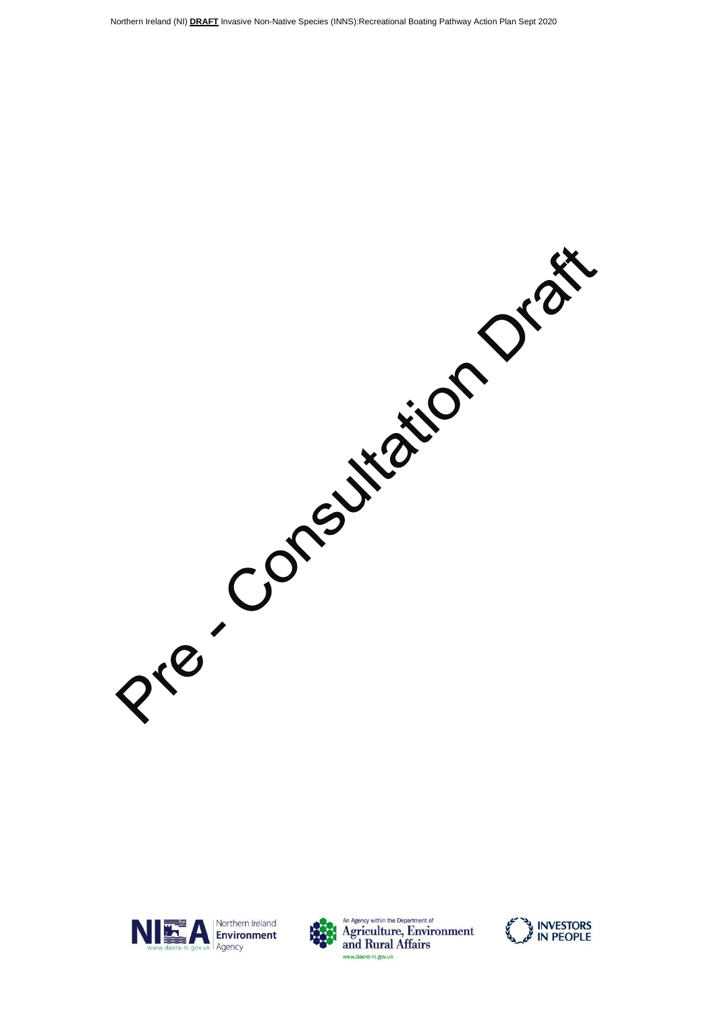Presidentation Oraș





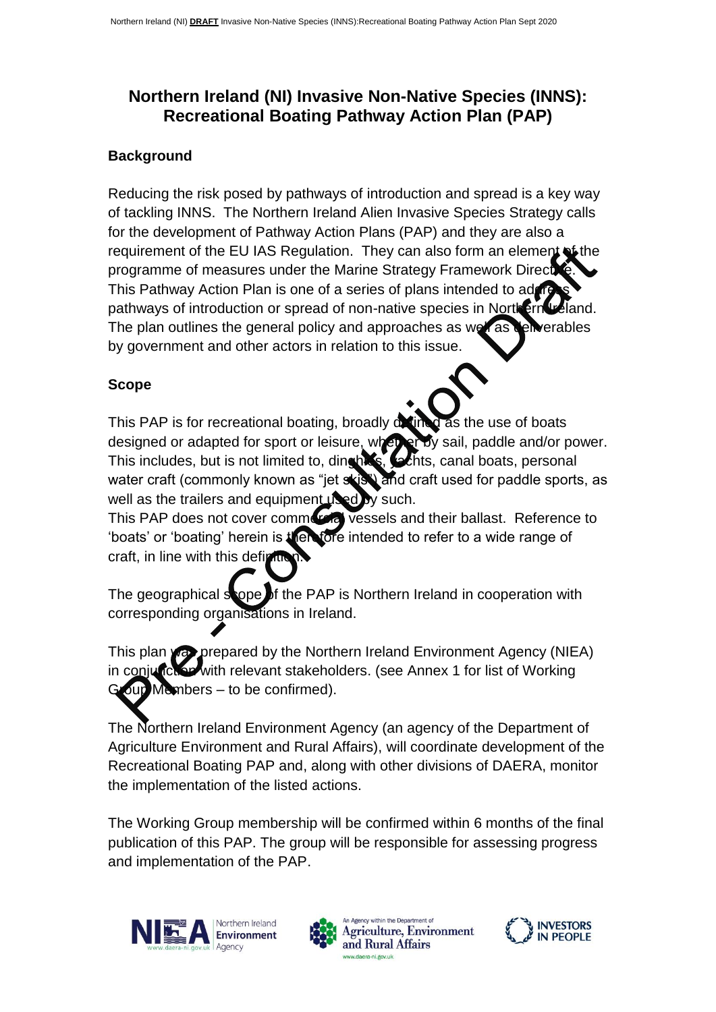# **Northern Ireland (NI) Invasive Non-Native Species (INNS): Recreational Boating Pathway Action Plan (PAP)**

#### **Background**

Reducing the risk posed by pathways of introduction and spread is a key way of tackling INNS. The Northern Ireland Alien Invasive Species Strategy calls for the development of Pathway Action Plans (PAP) and they are also a requirement of the EU IAS Regulation. They can also form an element of the programme of measures under the Marine Strategy Framework Direct This Pathway Action Plan is one of a series of plans intended to address pathways of introduction or spread of non-native species in Northern Ireland. The plan outlines the general policy and approaches as well as deliverables by government and other actors in relation to this issue.

# **Scope**

This PAP is for recreational boating, broadly detined as the use of boats designed or adapted for sport or leisure, whether by sail, paddle and/or power. This includes, but is not limited to, dinghist, sections, canal boats, personal water craft (commonly known as "jet skis") and craft used for paddle sports, as well as the trailers and equipment  $\mathbf{u}\cdot\mathbf{v}$  such.

This PAP does not cover commercial vessels and their ballast. Reference to 'boats' or 'boating' herein is then fore intended to refer to a wide range of craft, in line with this definition

The geographical scope of the PAP is Northern Ireland in cooperation with corresponding organisations in Ireland.

This plan was prepared by the Northern Ireland Environment Agency (NIEA) in conjunction with relevant stakeholders. (see Annex 1 for list of Working  $\sigma$ up Members – to be confirmed).

The Northern Ireland Environment Agency (an agency of the Department of Agriculture Environment and Rural Affairs), will coordinate development of the Recreational Boating PAP and, along with other divisions of DAERA, monitor the implementation of the listed actions.

The Working Group membership will be confirmed within 6 months of the final publication of this PAP. The group will be responsible for assessing progress and implementation of the PAP.





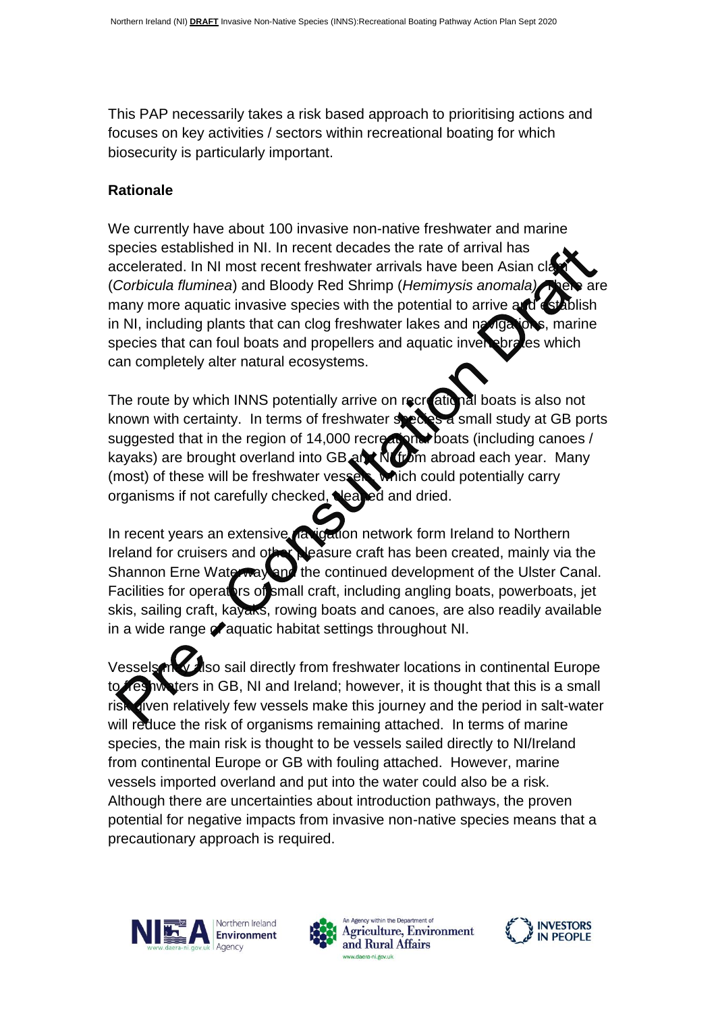This PAP necessarily takes a risk based approach to prioritising actions and focuses on key activities / sectors within recreational boating for which biosecurity is particularly important.

#### **Rationale**

We currently have about 100 invasive non-native freshwater and marine species established in NI. In recent decades the rate of arrival has accelerated. In NI most recent freshwater arrivals have been Asian cla (*Corbicula fluminea*) and Bloody Red Shrimp (*Hemimysis anomala*). many more aquatic invasive species with the potential to arrive and establish in NI, including plants that can clog freshwater lakes and navigations, marine species that can foul boats and propellers and aquatic invertebrates which can completely alter natural ecosystems.

The route by which INNS potentially arrive on recreational boats is also not known with certainty. In terms of freshwater species a small study at GB ports suggested that in the region of 14,000 recreational boats (including canoes / kayaks) are brought overland into GB and N from abroad each year. Many (most) of these will be freshwater vessels, which could potentially carry organisms if not carefully checked, leaned and dried.

In recent years an extensive navigation network form Ireland to Northern Ireland for cruisers and other pleasure craft has been created, mainly via the Shannon Erne Waterway and the continued development of the Ulster Canal. Facilities for operators of small craft, including angling boats, powerboats, jet skis, sailing craft, kayaks, rowing boats and canoes, are also readily available in a wide range of aquatic habitat settings throughout NI.

Vessels may also sail directly from freshwater locations in continental Europe ters in GB, NI and Ireland; however, it is thought that this is a small risk given relatively few vessels make this journey and the period in salt-water will reduce the risk of organisms remaining attached. In terms of marine species, the main risk is thought to be vessels sailed directly to NI/Ireland from continental Europe or GB with fouling attached. However, marine vessels imported overland and put into the water could also be a risk. Although there are uncertainties about introduction pathways, the proven potential for negative impacts from invasive non-native species means that a precautionary approach is required.





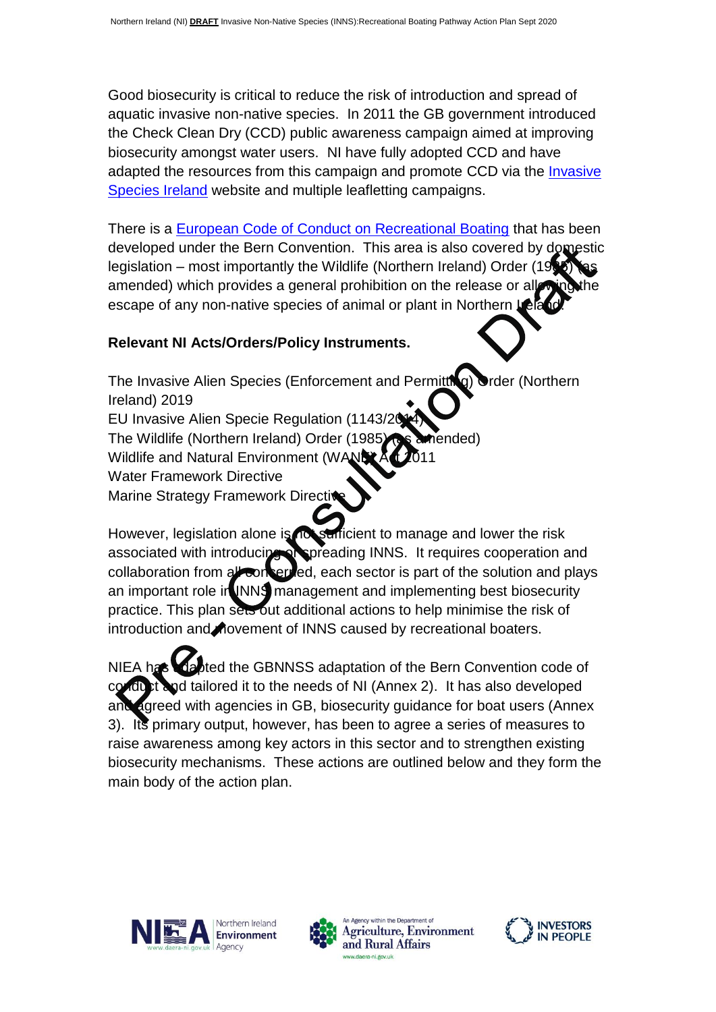Good biosecurity is critical to reduce the risk of introduction and spread of aquatic invasive non-native species. In 2011 the GB government introduced the Check Clean Dry (CCD) public awareness campaign aimed at improving biosecurity amongst water users. NI have fully adopted CCD and have adapted the resources from this campaign and promote CCD via the [Invasive](http://www.invasivespeciesireland.com/)  [Species Ireland](http://www.invasivespeciesireland.com/) website and multiple leafletting campaigns.

There is a [European Code of Conduct on Recreational Boating](https://rm.coe.int/1680746815) that has been developed under the Bern Convention. This area is also covered by domestic legislation – most importantly the Wildlife (Northern Ireland) Order (19) amended) which provides a general prohibition on the release or all escape of any non-native species of animal or plant in Northern Lela

# **Relevant NI Acts/Orders/Policy Instruments.**

The Invasive Alien Species (Enforcement and Permitting) Order (Northern Ireland) 2019

EU Invasive Alien Specie Regulation (1143/2014)

The Wildlife (Northern Ireland) Order (1985) (as amended)

Wildlife and Natural Environment (WA

Water Framework Directive

Marine Strategy Framework Directive

However, legislation alone is not sufficient to manage and lower the risk associated with introducing or spreading INNS. It requires cooperation and collaboration from all concerned, each sector is part of the solution and plays an important role in INNS management and implementing best biosecurity practice. This plan sets out additional actions to help minimise the risk of introduction and novement of INNS caused by recreational boaters.

NIEA has adapted the GBNNSS adaptation of the Bern Convention code of od tailored it to the needs of NI (Annex 2). It has also developed and agreed with agencies in GB, biosecurity guidance for boat users (Annex 3). Its primary output, however, has been to agree a series of measures to raise awareness among key actors in this sector and to strengthen existing biosecurity mechanisms. These actions are outlined below and they form the main body of the action plan.





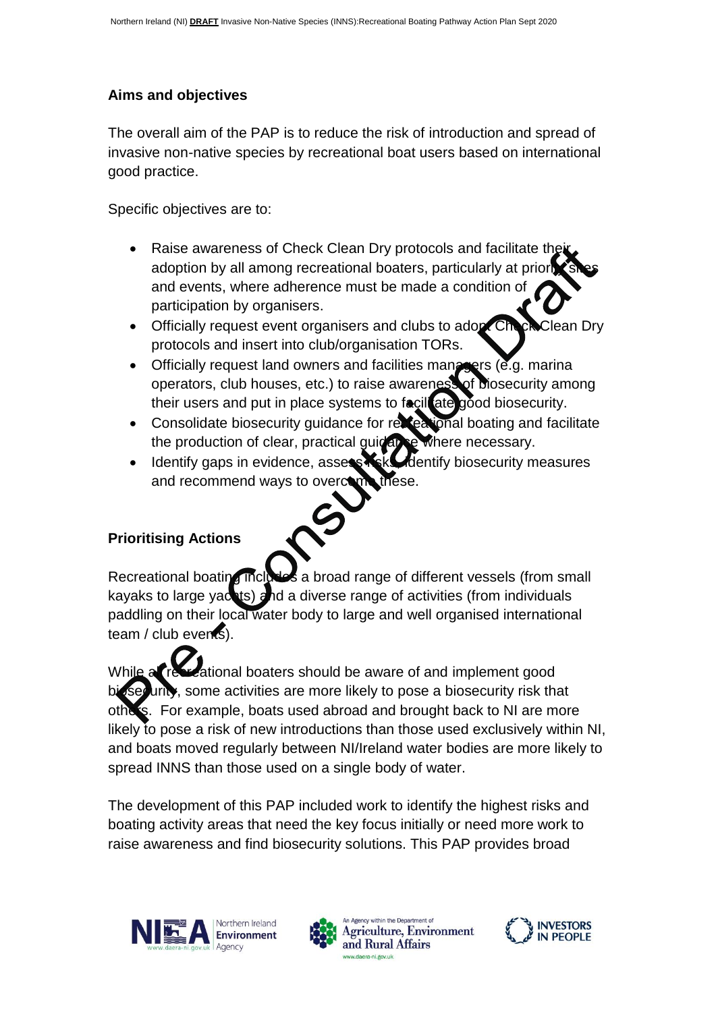# **Aims and objectives**

The overall aim of the PAP is to reduce the risk of introduction and spread of invasive non-native species by recreational boat users based on international good practice.

Specific objectives are to:

- Raise awareness of Check Clean Dry protocols and facilitate their adoption by all among recreational boaters, particularly at priority and events, where adherence must be made a condition of participation by organisers.
- Officially request event organisers and clubs to adopt Check Clean Dry protocols and insert into club/organisation TORs.
- $\bullet$  Officially request land owners and facilities managers (e.g. marina operators, club houses, etc.) to raise awareness of biosecurity among their users and put in place systems to facillate good biosecurity.
- Consolidate biosecurity guidance for recreational boating and facilitate the production of clear, practical guidance where necessary.
- Identify gaps in evidence, assess Kak Mentify biosecurity measures and recommend ways to overcome these.



# **Prioritising Actions**

Recreational boating includes a broad range of different vessels (from small kayaks to large yachts) and a diverse range of activities (from individuals paddling on their local water body to large and well organised international team / club events).

While all recreational boaters should be aware of and implement good  $uriv$ , some activities are more likely to pose a biosecurity risk that others. For example, boats used abroad and brought back to NI are more likely to pose a risk of new introductions than those used exclusively within NI, and boats moved regularly between NI/Ireland water bodies are more likely to spread INNS than those used on a single body of water.

The development of this PAP included work to identify the highest risks and boating activity areas that need the key focus initially or need more work to raise awareness and find biosecurity solutions. This PAP provides broad





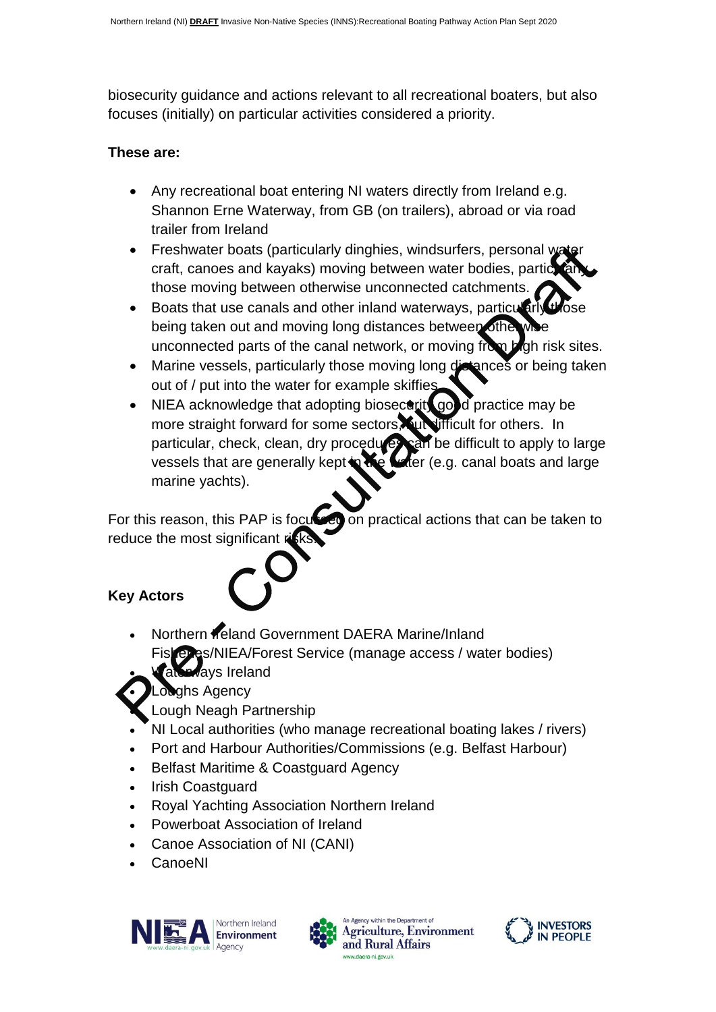biosecurity guidance and actions relevant to all recreational boaters, but also focuses (initially) on particular activities considered a priority.

#### **These are:**

- Any recreational boat entering NI waters directly from Ireland e.g. Shannon Erne Waterway, from GB (on trailers), abroad or via road trailer from Ireland
- Freshwater boats (particularly dinghies, windsurfers, personal water craft, canoes and kayaks) moving between water bodies, particularly those moving between otherwise unconnected catchments.
- Boats that use canals and other inland waterways, particularly those being taken out and moving long distances between otherwise unconnected parts of the canal network, or moving from **b** gh risk sites.
- Marine vessels, particularly those moving long distances or being taken out of / put into the water for example skiffies
- NIEA acknowledge that adopting biosecult good practice may be more straight forward for some sectors, but difficult for others. In particular, check, clean, dry procedures can be difficult to apply to large vessels that are generally kept in the water (e.g. canal boats and large marine yachts).

For this reason, this PAP is focused on practical actions that can be taken to reduce the most significant risks.

# **Key Actors**

- Northern **Ireland Government DAERA Marine/Inland Exas/NIEA/Forest Service (manage access / water bodies)**
- Waterways Ireland
- **Loughs Agency** 
	- Lough Neagh Partnership
- NI Local authorities (who manage recreational boating lakes / rivers)
- Port and Harbour Authorities/Commissions (e.g. Belfast Harbour)
- Belfast Maritime & Coastguard Agency
- Irish Coastguard
- Royal Yachting Association Northern Ireland
- Powerboat Association of Ireland
- Canoe Association of NI (CANI)
- CanoeNI







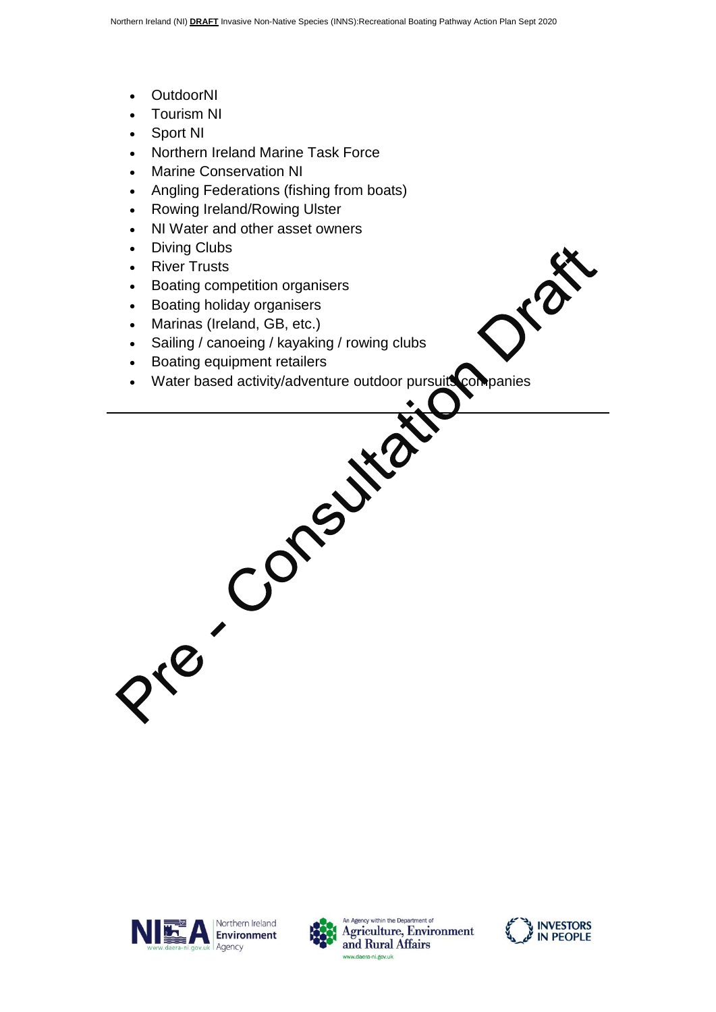- OutdoorNI
- Tourism NI
- Sport NI
- Northern Ireland Marine Task Force
- Marine Conservation NI
- Angling Federations (fishing from boats)
- Rowing Ireland/Rowing Ulster
- NI Water and other asset owners
- Diving Clubs
- River Trusts
- Boating competition organisers
- Boating holiday organisers
- Marinas (Ireland, GB, etc.)
- Sailing / canoeing / kayaking / rowing clubs
- 
- Boating equipment retailers<br>
Water based activity/adventure outdoor pure<br>
CONSIDERS Water based activity/adventure outdoor pursuits companies







DIB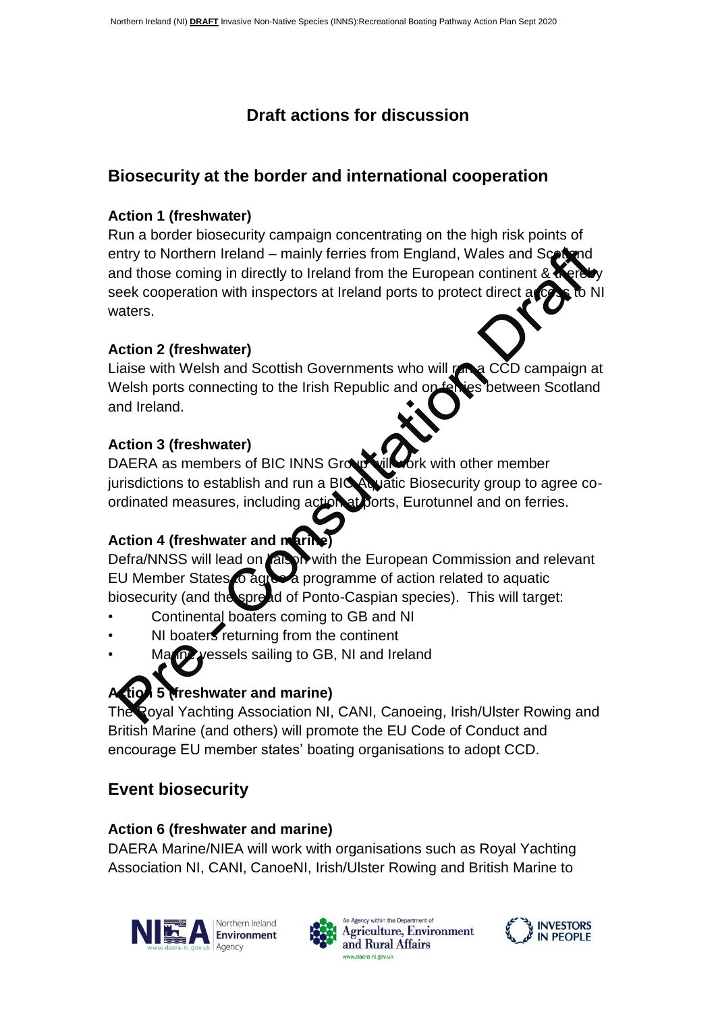# **Draft actions for discussion**

# **Biosecurity at the border and international cooperation**

# **Action 1 (freshwater)**

Run a border biosecurity campaign concentrating on the high risk points of entry to Northern Ireland – mainly ferries from England, Wales and Scottand and those coming in directly to Ireland from the European continent  $\&\&$ seek cooperation with inspectors at Ireland ports to protect direct a waters.

# **Action 2 (freshwater)**

Liaise with Welsh and Scottish Governments who will run a CCD campaign at Welsh ports connecting to the Irish Republic and on ferries between Scotland and Ireland.

# **Action 3 (freshwater)**

DAERA as members of BIC INNS Group will work with other member jurisdictions to establish and run a BIC Aquatic Biosecurity group to agree coordinated measures, including action at ports, Eurotunnel and on ferries.

# **Action 4 (freshwater and marine)**

Defra/NNSS will lead on **laison** with the European Commission and relevant EU Member States to agree a programme of action related to aquatic biosecurity (and the spread of Ponto-Caspian species). This will target:

- Continental boaters coming to GB and NI
- NI boaters returning from the continent
- Ma<sub>rine</sub> vessels sailing to GB, NI and Ireland

# **5 Merophy Find marine)**

Royal Yachting Association NI, CANI, Canoeing, Irish/Ulster Rowing and British Marine (and others) will promote the EU Code of Conduct and encourage EU member states' boating organisations to adopt CCD.

# **Event biosecurity**

# **Action 6 (freshwater and marine)**

DAERA Marine/NIEA will work with organisations such as Royal Yachting Association NI, CANI, CanoeNI, Irish/Ulster Rowing and British Marine to





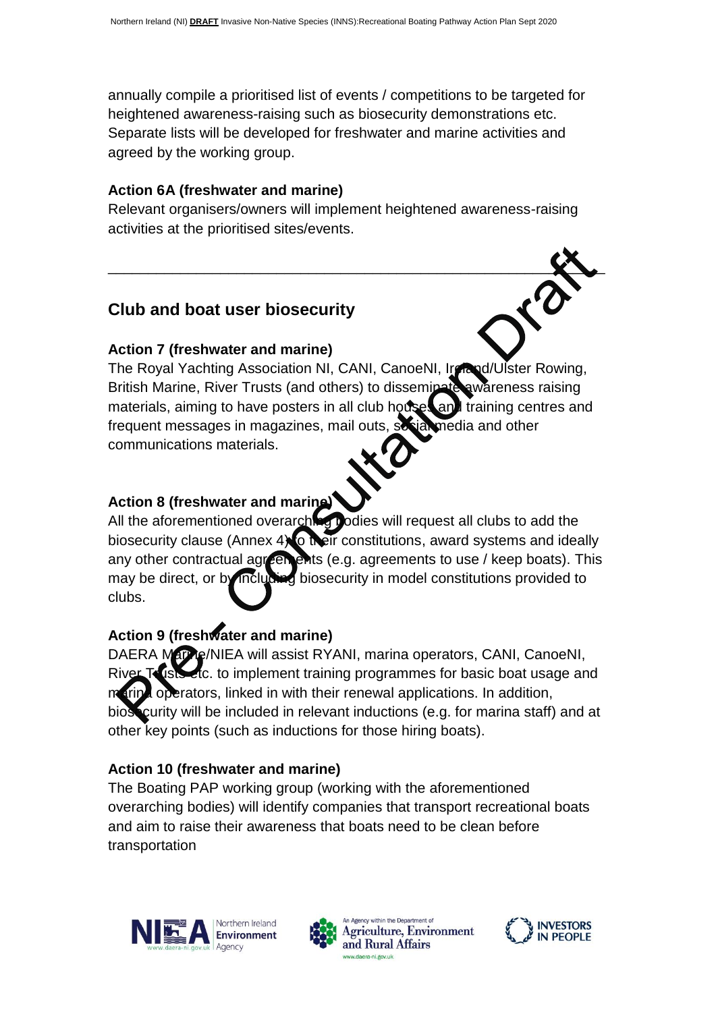annually compile a prioritised list of events / competitions to be targeted for heightened awareness-raising such as biosecurity demonstrations etc. Separate lists will be developed for freshwater and marine activities and agreed by the working group.

# **Action 6A (freshwater and marine)**

Relevant organisers/owners will implement heightened awareness-raising activities at the prioritised sites/events.

\_\_\_\_\_\_\_\_\_\_\_\_\_\_\_\_\_\_\_\_\_\_\_\_\_\_\_\_\_\_\_\_\_\_\_\_\_\_\_\_\_\_\_\_\_\_\_\_\_\_\_\_\_\_\_\_\_\_\_\_\_\_

# **Club and boat user biosecurity**

# **Action 7 (freshwater and marine)**

The Royal Yachting Association NI, CANI, CanoeNI, Ireland/Ulster Rowing, British Marine, River Trusts (and others) to disseminate awareness raising materials, aiming to have posters in all club houses and training centres and frequent messages in magazines, mail outs, social media and other communications materials.

# **Action 8 (freshwater and marine)**

All the aforementioned overarching bodies will request all clubs to add the biosecurity clause (Annex  $4\sqrt{6}$  their constitutions, award systems and ideally any other contractual agreements (e.g. agreements to use / keep boats). This may be direct, or by including biosecurity in model constitutions provided to clubs.

# **Action 9 (freshwater and marine)**

DAERA Marine/NIEA will assist RYANI, marina operators, CANI, CanoeNI, River Trusts etc. to implement training programmes for basic boat usage and a operators, linked in with their renewal applications. In addition, biosecurity will be included in relevant inductions (e.g. for marina staff) and at other key points (such as inductions for those hiring boats).

# **Action 10 (freshwater and marine)**

The Boating PAP working group (working with the aforementioned overarching bodies) will identify companies that transport recreational boats and aim to raise their awareness that boats need to be clean before transportation





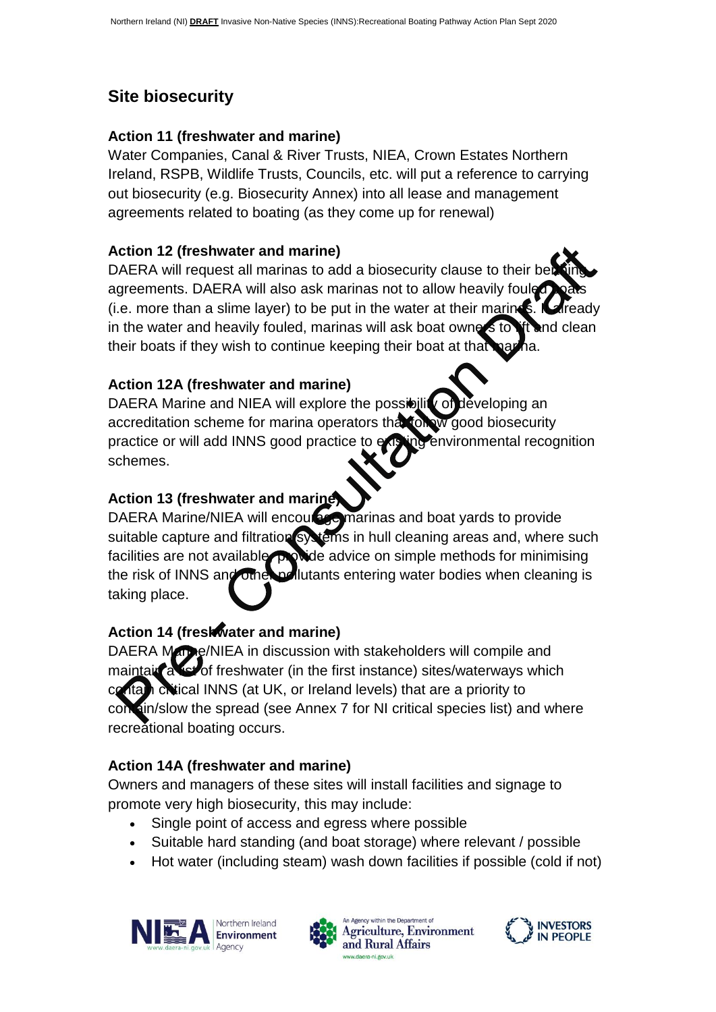# **Site biosecurity**

#### **Action 11 (freshwater and marine)**

Water Companies, Canal & River Trusts, NIEA, Crown Estates Northern Ireland, RSPB, Wildlife Trusts, Councils, etc. will put a reference to carrying out biosecurity (e.g. Biosecurity Annex) into all lease and management agreements related to boating (as they come up for renewal)

#### **Action 12 (freshwater and marine)**

DAERA will request all marinas to add a biosecurity clause to their berth agreements. DAERA will also ask marinas not to allow heavily fouled (i.e. more than a slime layer) to be put in the water at their marines.  $\blacksquare$  ready in the water and heavily fouled, marinas will ask boat owners to lift and clean their boats if they wish to continue keeping their boat at that

# **Action 12A (freshwater and marine)**

DAERA Marine and NIEA will explore the possibility of developing an accreditation scheme for marina operators that follow good biosecurity practice or will add INNS good practice to existing environmental recognition schemes.

# **Action 13 (freshwater and marine)**

DAERA Marine/NIEA will encourage marinas and boat yards to provide suitable capture and filtration systems in hull cleaning areas and, where such facilities are not available provide advice on simple methods for minimising the risk of INNS and other pollutants entering water bodies when cleaning is taking place.

# **Action 14 (freshwater and marine)**

DAERA Marke/NIEA in discussion with stakeholders will compile and maintain a list of freshwater (in the first instance) sites/waterways which contain critical INNS (at UK, or Ireland levels) that are a priority to  $sin/s$ low the spread (see Annex  $7$  for NI critical species list) and where recreational boating occurs.

# **Action 14A (freshwater and marine)**

Owners and managers of these sites will install facilities and signage to promote very high biosecurity, this may include:

- Single point of access and egress where possible
- Suitable hard standing (and boat storage) where relevant / possible
- Hot water (including steam) wash down facilities if possible (cold if not)





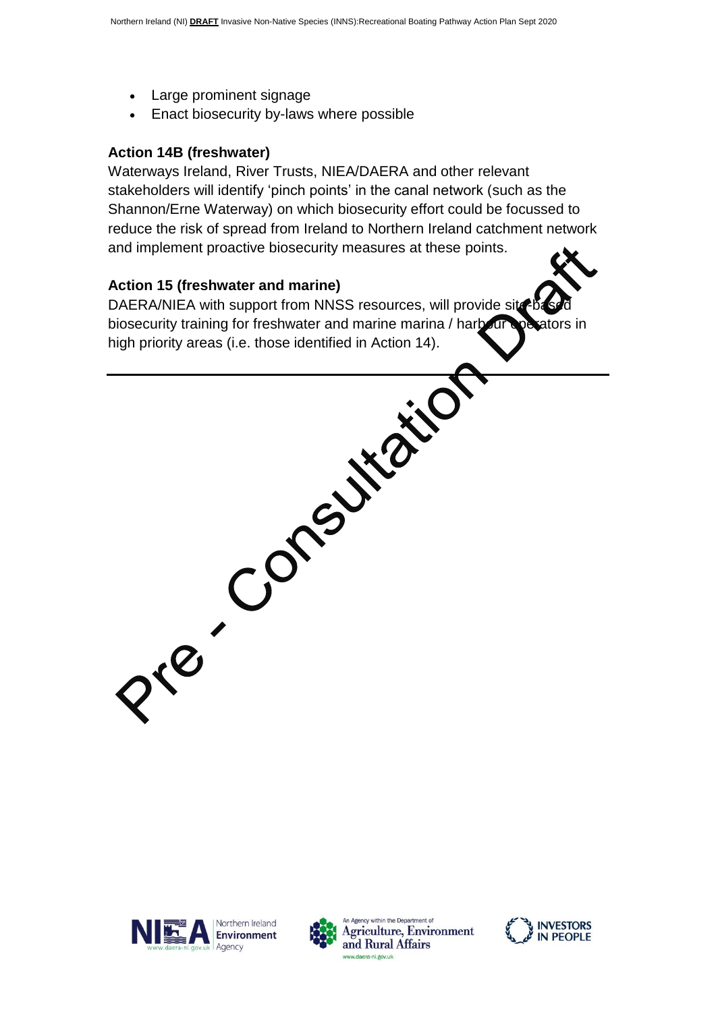- Large prominent signage
- Enact biosecurity by-laws where possible

#### **Action 14B (freshwater)**

Waterways Ireland, River Trusts, NIEA/DAERA and other relevant stakeholders will identify 'pinch points' in the canal network (such as the Shannon/Erne Waterway) on which biosecurity effort could be focussed to reduce the risk of spread from Ireland to Northern Ireland catchment network and implement proactive biosecurity measures at these points.

#### **Action 15 (freshwater and marine)**

DAERA/NIEA with support from NNSS resources, will provide site biosecurity training for freshwater and marine marina / harbour coexators in high priority areas (i.e. those identified in Action 14).





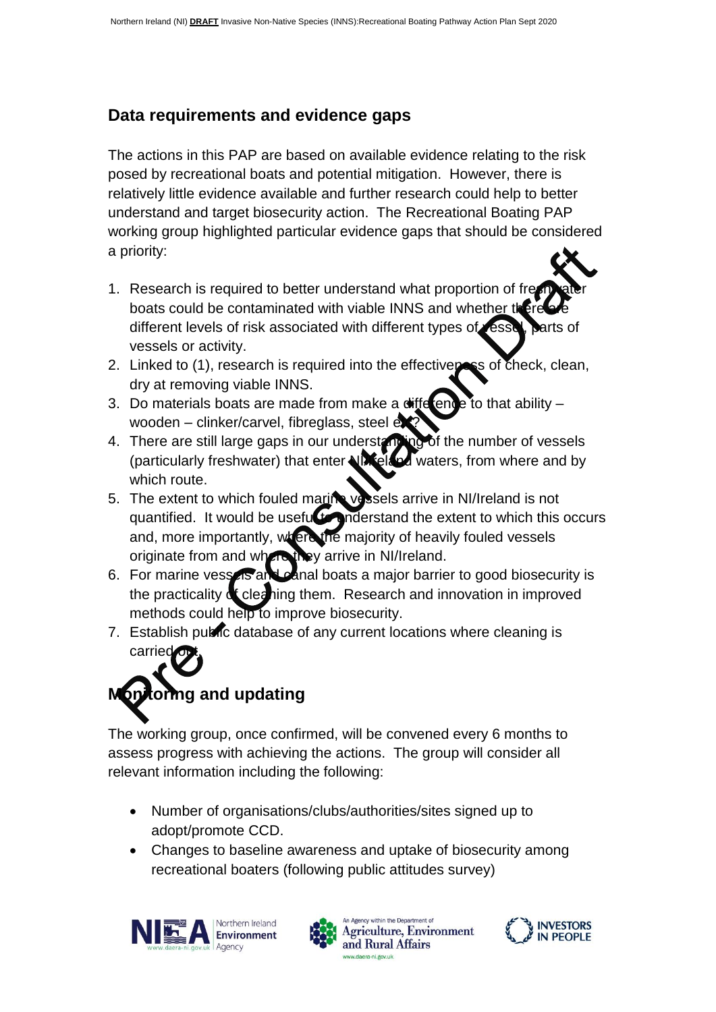# **Data requirements and evidence gaps**

The actions in this PAP are based on available evidence relating to the risk posed by recreational boats and potential mitigation. However, there is relatively little evidence available and further research could help to better understand and target biosecurity action. The Recreational Boating PAP working group highlighted particular evidence gaps that should be considered a priority:

- 1. Research is required to better understand what proportion of free boats could be contaminated with viable INNS and whether there different levels of risk associated with different types of vessel, parts of vessels or activity.
- 2. Linked to  $(1)$ , research is required into the effectiveness of check, clean, dry at removing viable INNS.
- 3. Do materials boats are made from make a difference to that ability  $$ wooden – clinker/carvel, fibreglass, steel et
- 4. There are still large gaps in our understanding of the number of vessels (particularly freshwater) that enter NIX eland waters, from where and by which route.
- 5. The extent to which fouled marine vessels arrive in NI/Ireland is not quantified. It would be useful to inderstand the extent to which this occurs and, more importantly, where the majority of heavily fouled vessels originate from and where they arrive in NI/Ireland.
- 6. For marine vessels and canal boats a major barrier to good biosecurity is the practicality of cleaning them. Research and innovation in improved methods could help to improve biosecurity.
- 7. Establish public database of any current locations where cleaning is carried

# toring and updating

The working group, once confirmed, will be convened every 6 months to assess progress with achieving the actions. The group will consider all relevant information including the following:

- Number of organisations/clubs/authorities/sites signed up to adopt/promote CCD.
- Changes to baseline awareness and uptake of biosecurity among recreational boaters (following public attitudes survey)





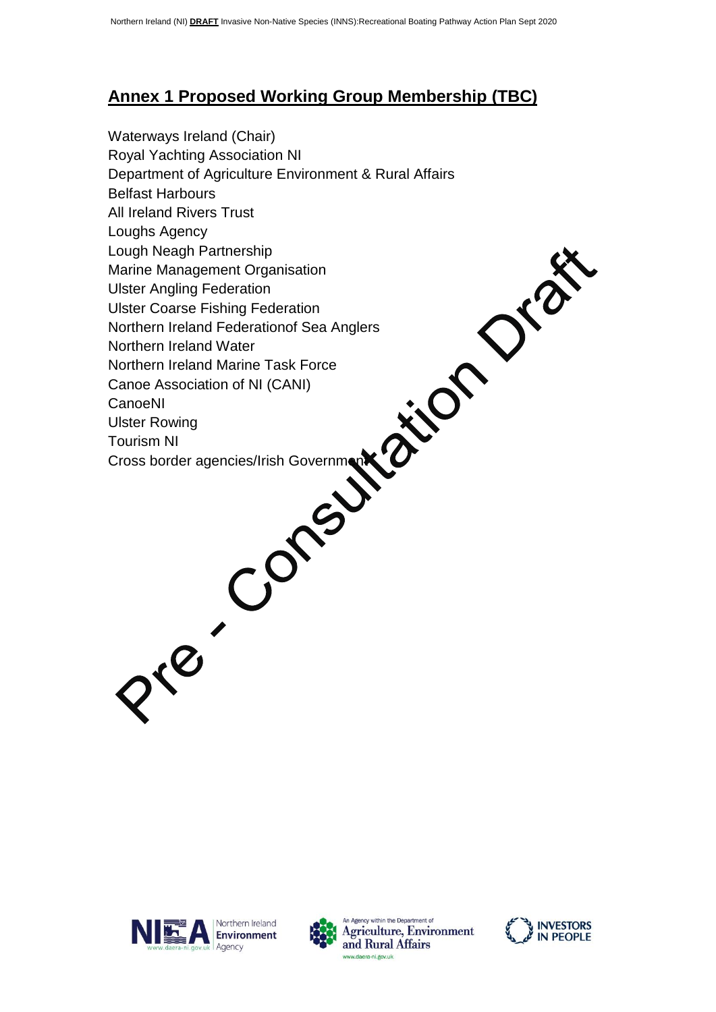# **Annex 1 Proposed Working Group Membership (TBC)**

Waterways Ireland (Chair) Royal Yachting Association NI Department of Agriculture Environment & Rural Affairs Belfast Harbours All Ireland Rivers Trust Loughs Agency Lough Neagh Partnership Marine Management Organisation Ulster Angling Federation Ulster Coarse Fishing Federation Northern Ireland Federationof Sea Anglers Northern Ireland Water Northern Ireland Marine Task Force Canoe Association of NI (CANI) CanoeNI Ulster Rowing Tourism NI Cross border agencies/Irish Government







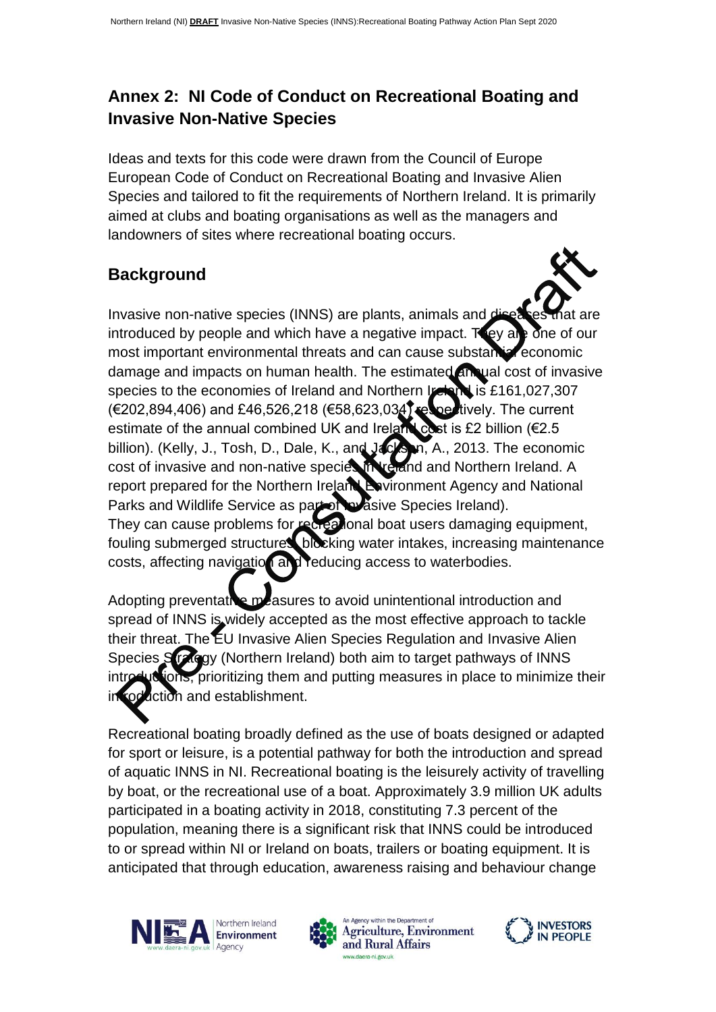# **Annex 2: NI Code of Conduct on Recreational Boating and Invasive Non-Native Species**

Ideas and texts for this code were drawn from the Council of Europe European Code of Conduct on Recreational Boating and Invasive Alien Species and tailored to fit the requirements of Northern Ireland. It is primarily aimed at clubs and boating organisations as well as the managers and landowners of sites where recreational boating occurs.

# **Background**

Invasive non-native species (INNS) are plants, animals and a introduced by people and which have a negative impact. They are one of our most important environmental threats and can cause substantial economic damage and impacts on human health. The estimated annual cost of invasive species to the economies of Ireland and Northern Ireland is £161,027,307  $(E202,894,406)$  and £46,526,218 (€58,623,034) respectively. The current estimate of the annual combined UK and Ireland cost is £2 billion ( $€2.5$ ) billion). (Kelly, J., Tosh, D., Dale, K., and Jackson, A., 2013. The economic cost of invasive and non-native species in Ireland and Northern Ireland. A report prepared for the Northern Ireland Environment Agency and National Parks and Wildlife Service as part of Invasive Species Ireland). They can cause problems for recreational boat users damaging equipment, fouling submerged structures, blocking water intakes, increasing maintenance costs, affecting navigation and reducing access to waterbodies.

Adopting preventative measures to avoid unintentional introduction and spread of INNS is widely accepted as the most effective approach to tackle their threat. The EU Invasive Alien Species Regulation and Invasive Alien Species Strategy (Northern Ireland) both aim to target pathways of INNS uctions, prioritizing them and putting measures in place to minimize their roduction and establishment.

Recreational boating broadly defined as the use of boats designed or adapted for sport or leisure, is a potential pathway for both the introduction and spread of aquatic INNS in NI. Recreational boating is the leisurely activity of travelling by boat, or the recreational use of a boat. Approximately 3.9 million UK adults participated in a boating activity in 2018, constituting 7.3 percent of the population, meaning there is a significant risk that INNS could be introduced to or spread within NI or Ireland on boats, trailers or boating equipment. It is anticipated that through education, awareness raising and behaviour change





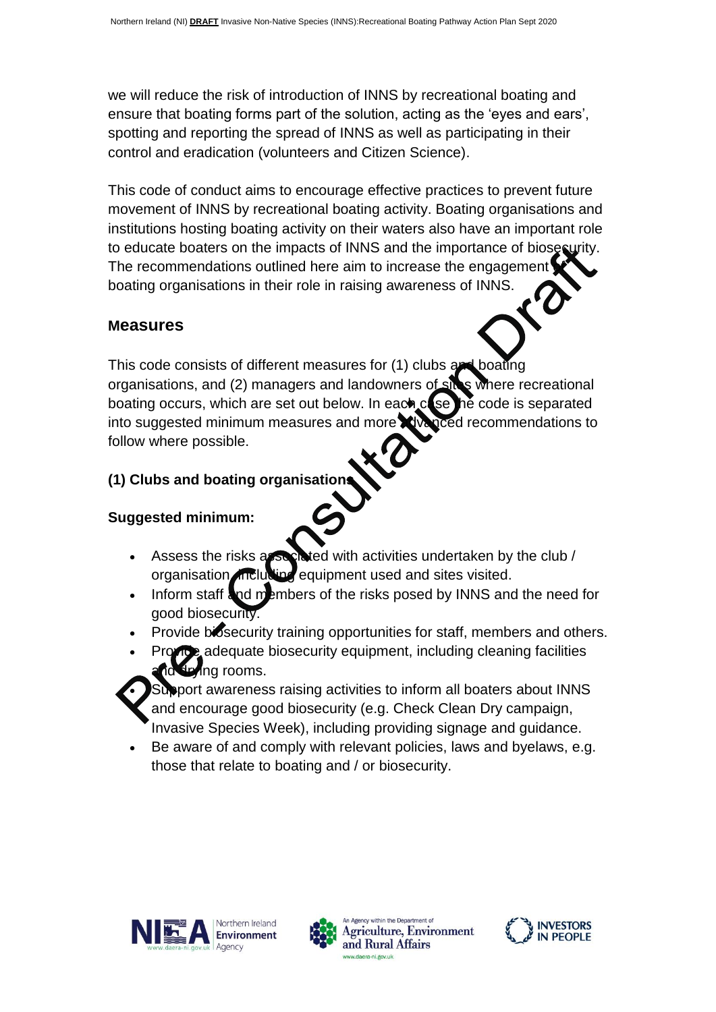we will reduce the risk of introduction of INNS by recreational boating and ensure that boating forms part of the solution, acting as the 'eyes and ears', spotting and reporting the spread of INNS as well as participating in their control and eradication (volunteers and Citizen Science).

This code of conduct aims to encourage effective practices to prevent future movement of INNS by recreational boating activity. Boating organisations and institutions hosting boating activity on their waters also have an important role to educate boaters on the impacts of INNS and the importance of biosecurity. The recommendations outlined here aim to increase the engagement boating organisations in their role in raising awareness of INNS.

#### **Measures**

This code consists of different measures for (1) clubs and boating organisations, and (2) managers and landowners of sites where recreational boating occurs, which are set out below. In each  $c$  set the code is separated into suggested minimum measures and more advanced recommendations to follow where possible.

# **(1) Clubs and boating organisations**

# **Suggested minimum:**

- Assess the risks associated with activities undertaken by the club / organisation, including equipment used and sites visited.
- Inform staff and members of the risks posed by INNS and the need for good biosecurity.
- Provide biosecurity training opportunities for staff, members and others.
- Provide adequate biosecurity equipment, including cleaning facilities and rooms.

Support awareness raising activities to inform all boaters about INNS and encourage good biosecurity (e.g. Check Clean Dry campaign, Invasive Species Week), including providing signage and guidance.

 Be aware of and comply with relevant policies, laws and byelaws, e.g. those that relate to boating and / or biosecurity.





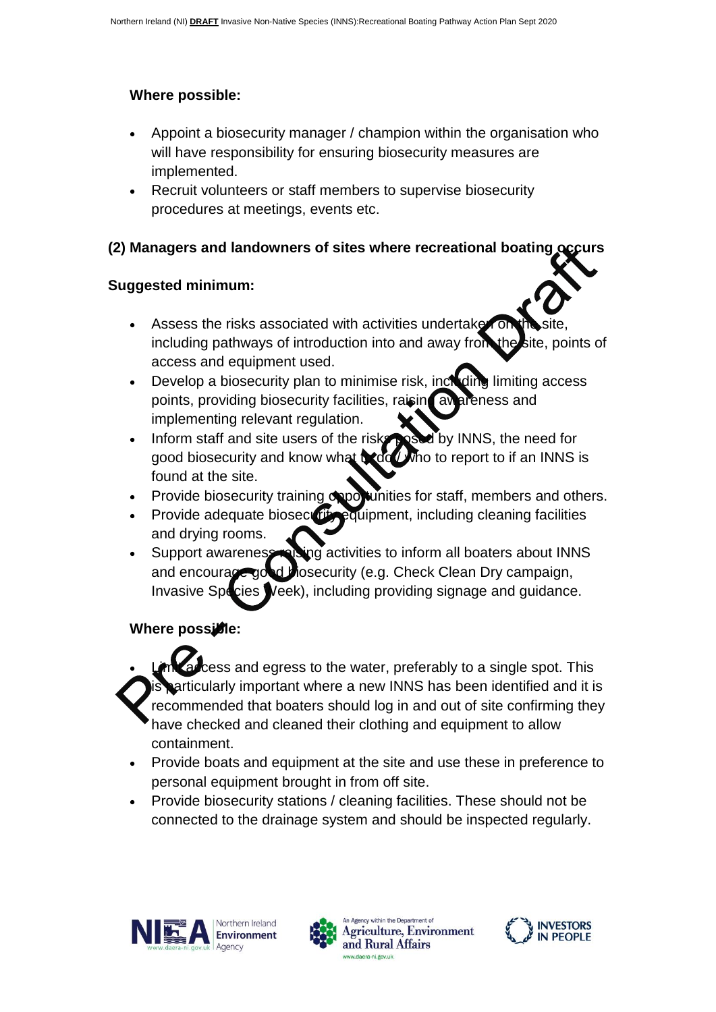# **Where possible:**

- Appoint a biosecurity manager / champion within the organisation who will have responsibility for ensuring biosecurity measures are implemented.
- Recruit volunteers or staff members to supervise biosecurity procedures at meetings, events etc.

# **(2) Managers and landowners of sites where recreational boating occurs**

# **Suggested minimum:**

- Assess the risks associated with activities undertaken or including pathways of introduction into and away from the site, points of access and equipment used.
- Develop a biosecurity plan to minimise risk, including limiting access points, providing biosecurity facilities, raising awareness and implementing relevant regulation.
- Inform staff and site users of the risks posed by INNS, the need for good biosecurity and know what  $\frac{1}{2}$  who to report to if an INNS is found at the site.
- Provide biosecurity training opportunities for staff, members and others.
- Provide adequate biosecurity equipment, including cleaning facilities and drying rooms.
- Support awareness raising activities to inform all boaters about INNS and encourage good biosecurity (e.g. Check Clean Dry campaign, Invasive Species Week), including providing signage and guidance.

# **Where possible:**

 $\cos$  and egress to the water, preferably to a single spot. This articularly important where a new INNS has been identified and it is recommended that boaters should log in and out of site confirming they have checked and cleaned their clothing and equipment to allow containment.

- Provide boats and equipment at the site and use these in preference to personal equipment brought in from off site.
- Provide biosecurity stations / cleaning facilities. These should not be connected to the drainage system and should be inspected regularly.





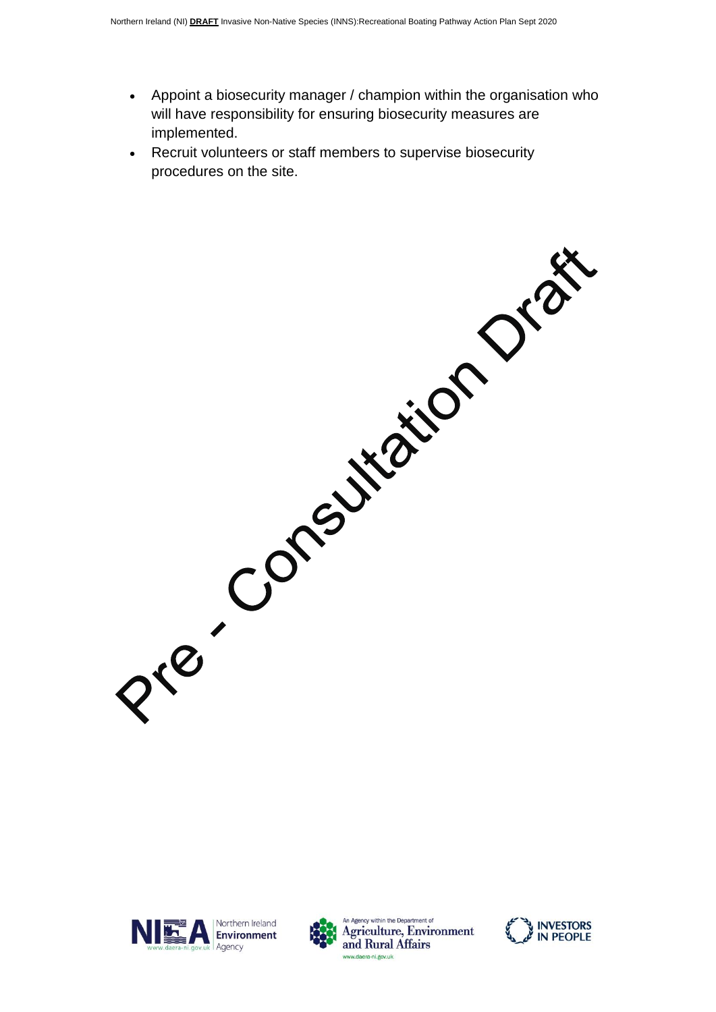- Appoint a biosecurity manager / champion within the organisation who will have responsibility for ensuring biosecurity measures are implemented.
- Recruit volunteers or staff members to supervise biosecurity procedures on the site.

Pre Consultation Orac

Northern Ireland NIMA Environment Agency





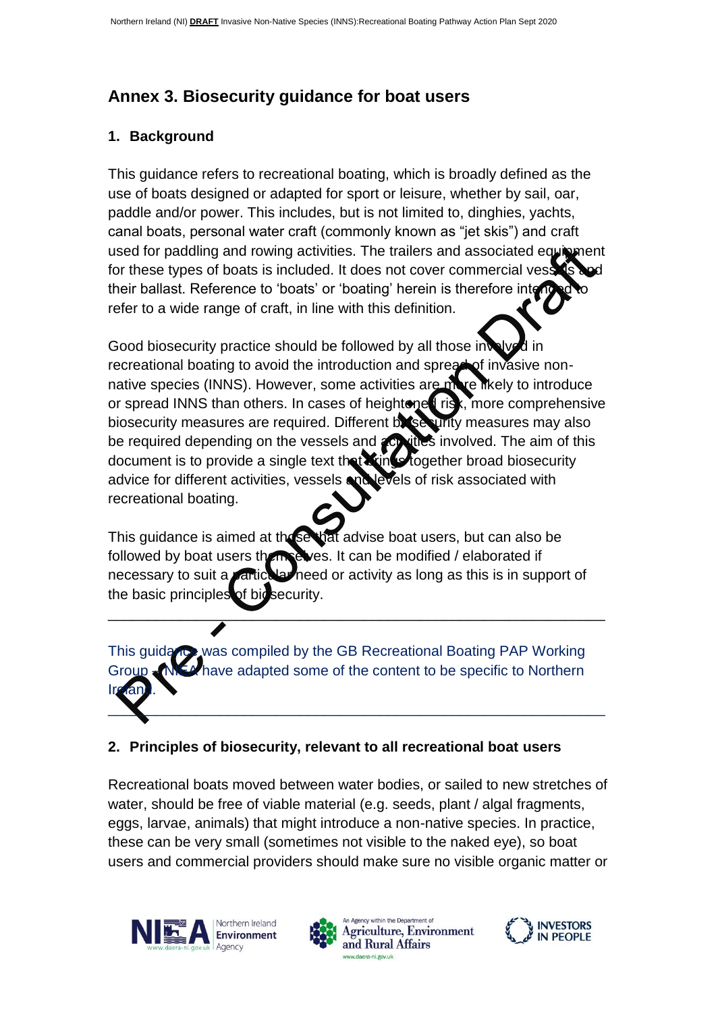# **Annex 3. Biosecurity guidance for boat users**

#### **1. Background**

This guidance refers to recreational boating, which is broadly defined as the use of boats designed or adapted for sport or leisure, whether by sail, oar, paddle and/or power. This includes, but is not limited to, dinghies, yachts, canal boats, personal water craft (commonly known as "jet skis") and craft used for paddling and rowing activities. The trailers and associated equipment for these types of boats is included. It does not cover commercial vess their ballast. Reference to 'boats' or 'boating' herein is therefore interrefer to a wide range of craft, in line with this definition.

Good biosecurity practice should be followed by all those in recreational boating to avoid the introduction and spread of invasive nonnative species (INNS). However, some activities are more likely to introduce or spread INNS than others. In cases of heightened risk, more comprehensive biosecurity measures are required. Different biosecurity measures may also be required depending on the vessels and **activities** involved. The aim of this document is to provide a single text that stings together broad biosecurity advice for different activities, vessels and levels of risk associated with recreational boating.

This quidance is aimed at these that advise boat users, but can also be followed by boat users themselves. It can be modified / elaborated if necessary to suit a particular need or activity as long as this is in support of the basic principles of biosecurity.

\_\_\_\_\_\_\_\_\_\_\_\_\_\_\_\_\_\_\_\_\_\_\_\_\_\_\_\_\_\_\_\_\_\_\_\_\_\_\_\_\_\_\_\_\_\_\_\_\_\_\_\_\_\_\_\_\_\_\_\_\_\_

This guidance was compiled by the GB Recreational Boating PAP Working Group – NIEA have adapted some of the content to be specific to Northern Ireland.  $\_\_\_\_\_\_\_\_\_$ 

# **2. Principles of biosecurity, relevant to all recreational boat users**

Recreational boats moved between water bodies, or sailed to new stretches of water, should be free of viable material (e.g. seeds, plant / algal fragments, eggs, larvae, animals) that might introduce a non-native species. In practice, these can be very small (sometimes not visible to the naked eye), so boat users and commercial providers should make sure no visible organic matter or





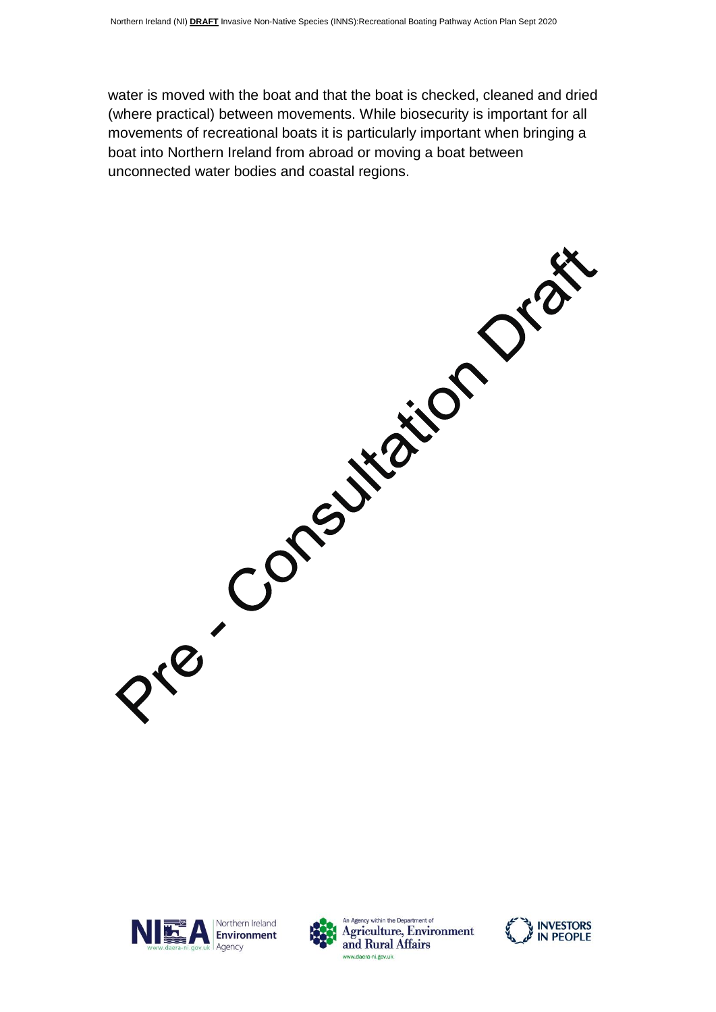water is moved with the boat and that the boat is checked, cleaned and dried (where practical) between movements. While biosecurity is important for all movements of recreational boats it is particularly important when bringing a boat into Northern Ireland from abroad or moving a boat between unconnected water bodies and coastal regions.

Pre-Consultation Orac







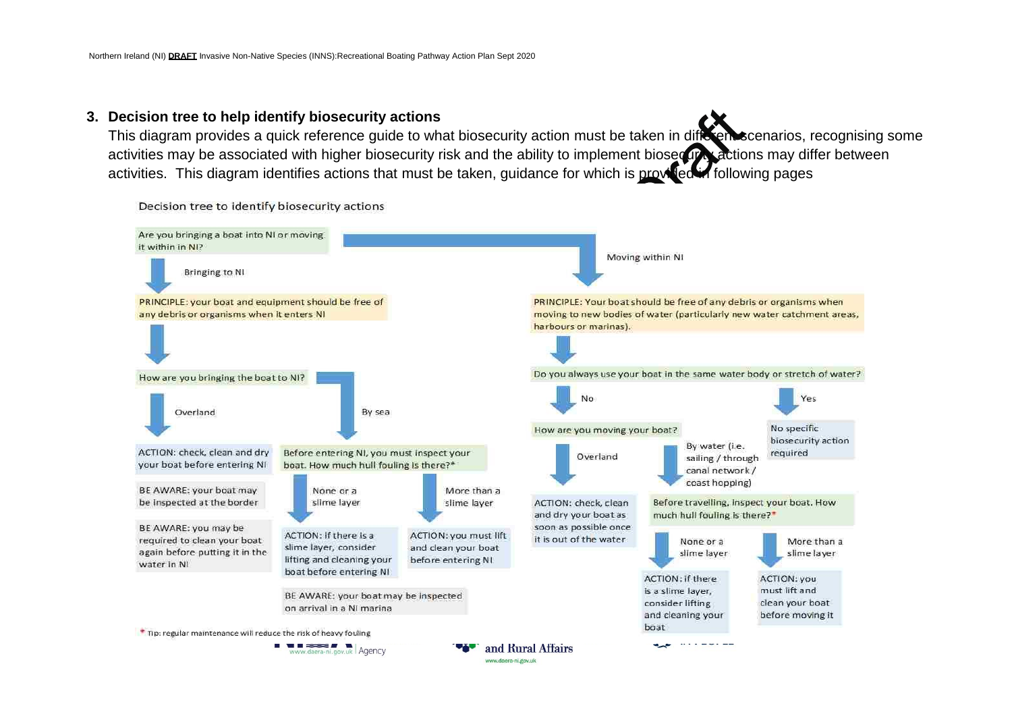#### **3. Decision tree to help identify biosecurity actions**

This diagram provides a quick reference guide to what biosecurity action must be taken in different scenarios, recognising some activities may be associated with higher biosecurity risk and the ability to implement biosecurity actions may differ between activities. This diagram identifies actions that must be taken, guidance for which is provided in following pages



Decision tree to identify biosecurity actions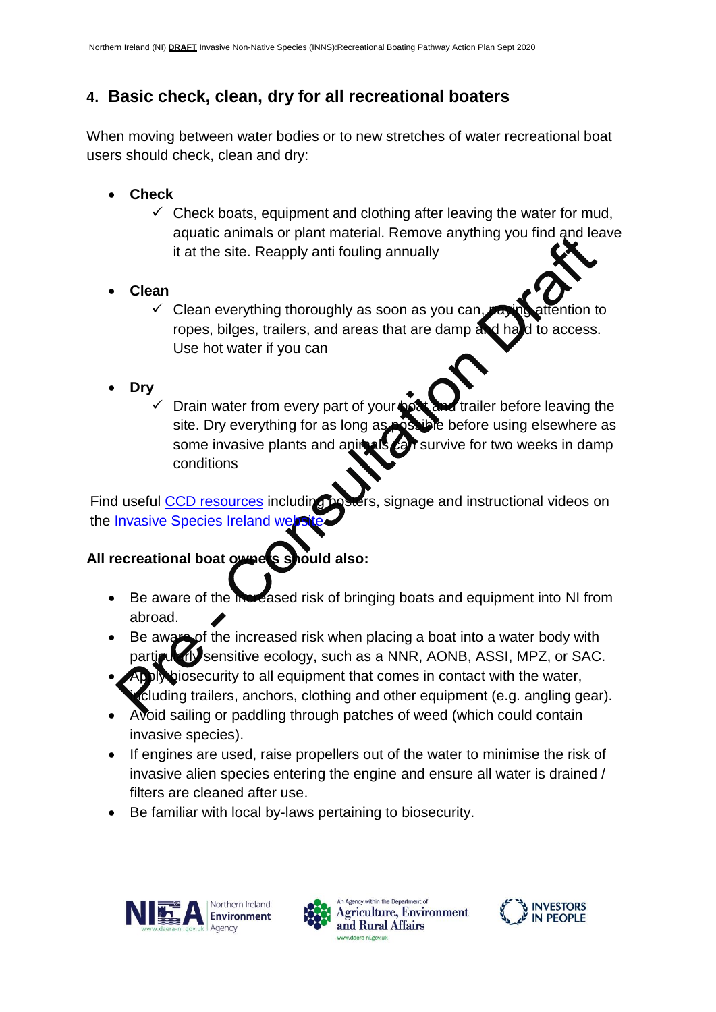# **4. Basic check, clean, dry for all recreational boaters**

When moving between water bodies or to new stretches of water recreational boat users should check, clean and dry:

- **Check**
	- $\checkmark$  Check boats, equipment and clothing after leaving the water for mud, aquatic animals or plant material. Remove anything you find and leave it at the site. Reapply anti fouling annually
- **Clean**
	- $\checkmark$  Clean everything thoroughly as soon as you can ropes, bilges, trailers, and areas that are damp and hald to access. Use hot water if you can
- **Dry**
	- Drain water from every part of your **boat and trailer before leaving the** site. Dry everything for as long as possible before using elsewhere as some invasive plants and animals car survive for two weeks in damp conditions

Find useful [CCD resources](http://invasivespeciesireland.com/what-can-i-do/check-clean-dry/) including posters, signage and instructional videos on the Invasive Species Ireland we

# **All recreational boat owners should also:**

- Be aware of the increased risk of bringing boats and equipment into NI from abroad.
- Be aware of the increased risk when placing a boat into a water body with particularly sensitive ecology, such as a NNR, AONB, ASSI, MPZ, or SAC.
- Apply biosecurity to all equipment that comes in contact with the water, cluding trailers, anchors, clothing and other equipment (e.g. angling gear).
- Avoid sailing or paddling through patches of weed (which could contain invasive species).
- If engines are used, raise propellers out of the water to minimise the risk of invasive alien species entering the engine and ensure all water is drained / filters are cleaned after use.
- Be familiar with local by-laws pertaining to biosecurity.







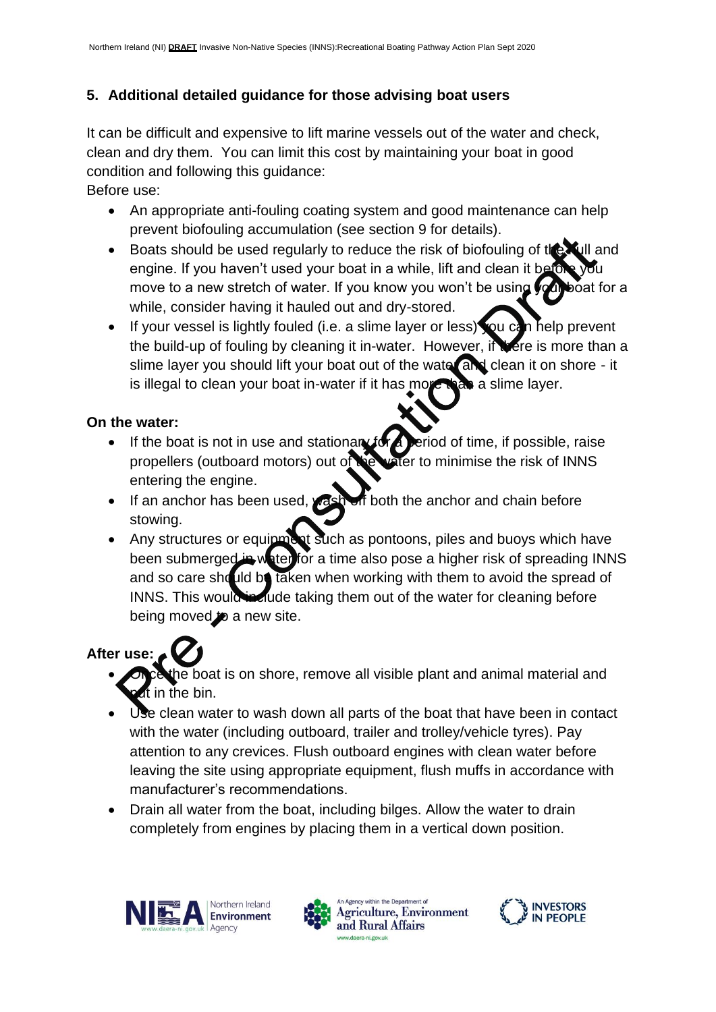# **5. Additional detailed guidance for those advising boat users**

It can be difficult and expensive to lift marine vessels out of the water and check, clean and dry them. You can limit this cost by maintaining your boat in good condition and following this guidance:

Before use:

- An appropriate anti-fouling coating system and good maintenance can help prevent biofouling accumulation (see section 9 for details).
- Boats should be used regularly to reduce the risk of biofouling of the hull and engine. If you haven't used your boat in a while, lift and clean it be move to a new stretch of water. If you know you won't be using you boat for a while, consider having it hauled out and dry-stored.
- If your vessel is lightly fouled (i.e. a slime layer or less) you can help prevent the build-up of fouling by cleaning it in-water. However, if there is more than a slime layer you should lift your boat out of the water and clean it on shore - it is illegal to clean your boat in-water if it has move than a slime layer.

# **On the water:**

- If the boat is not in use and stationary for a period of time, if possible, raise propellers (outboard motors) out of the water to minimise the risk of INNS entering the engine.
- If an anchor has been used, wash off both the anchor and chain before stowing.
- Any structures or equipment such as pontoons, piles and buoys which have been submerged in water for a time also pose a higher risk of spreading INNS and so care should be taken when working with them to avoid the spread of INNS. This would include taking them out of the water for cleaning before being moved to a new site.

# **After use:**

- he boat is on shore, remove all visible plant and animal material and It in the bin.
- Use clean water to wash down all parts of the boat that have been in contact with the water (including outboard, trailer and trolley/vehicle tyres). Pay attention to any crevices. Flush outboard engines with clean water before leaving the site using appropriate equipment, flush muffs in accordance with manufacturer's recommendations.
- Drain all water from the boat, including bilges. Allow the water to drain completely from engines by placing them in a vertical down position.







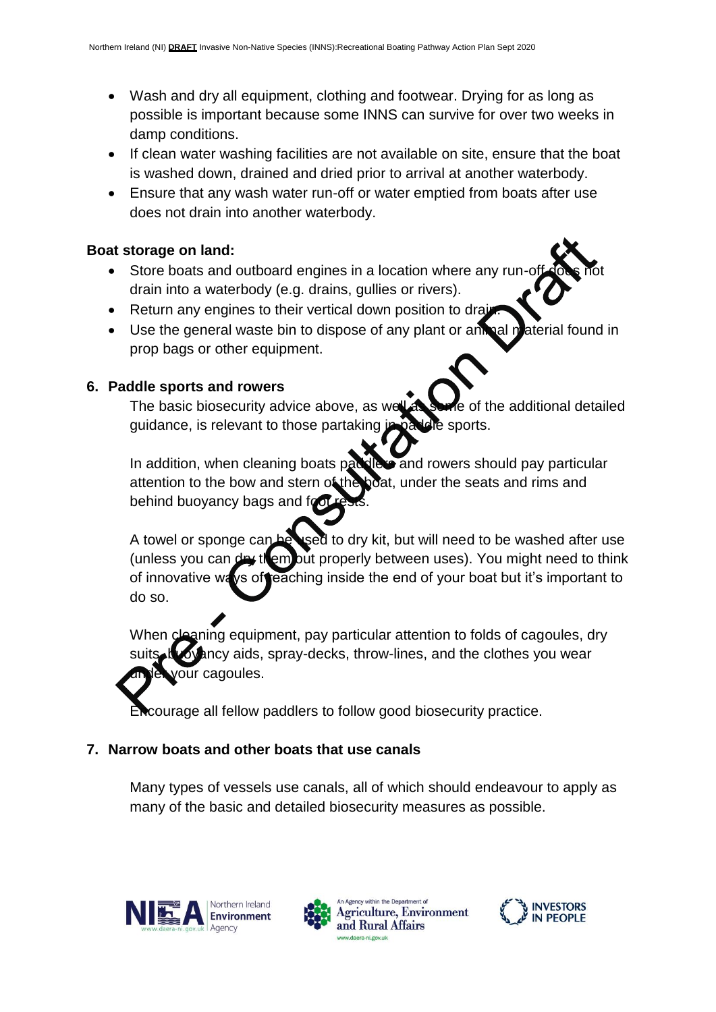- Wash and dry all equipment, clothing and footwear. Drying for as long as possible is important because some INNS can survive for over two weeks in damp conditions.
- If clean water washing facilities are not available on site, ensure that the boat is washed down, drained and dried prior to arrival at another waterbody.
- Ensure that any wash water run-off or water emptied from boats after use does not drain into another waterbody.

#### **Boat storage on land:**

- Store boats and outboard engines in a location where any rundrain into a waterbody (e.g. drains, gullies or rivers).
- Return any engines to their vertical down position to drain.
- Use the general waste bin to dispose of any plant or animal material found in prop bags or other equipment.

#### **6. Paddle sports and rowers**

The basic biosecurity advice above, as well as some of the additional detailed guidance, is relevant to those partaking in paddle sports.

In addition, when cleaning boats paddlers and rowers should pay particular attention to the bow and stern of the boat, under the seats and rims and behind buoyancy bags and foot

A towel or sponge can be used to dry kit, but will need to be washed after use (unless you can dry them out properly between uses). You might need to think of innovative ways of reaching inside the end of your boat but it's important to do so.

When cleaning equipment, pay particular attention to folds of cagoules, dry ancy aids, spray-decks, throw-lines, and the clothes you wear your cagoules.

courage all fellow paddlers to follow good biosecurity practice.

# **7. Narrow boats and other boats that use canals**

Many types of vessels use canals, all of which should endeavour to apply as many of the basic and detailed biosecurity measures as possible.







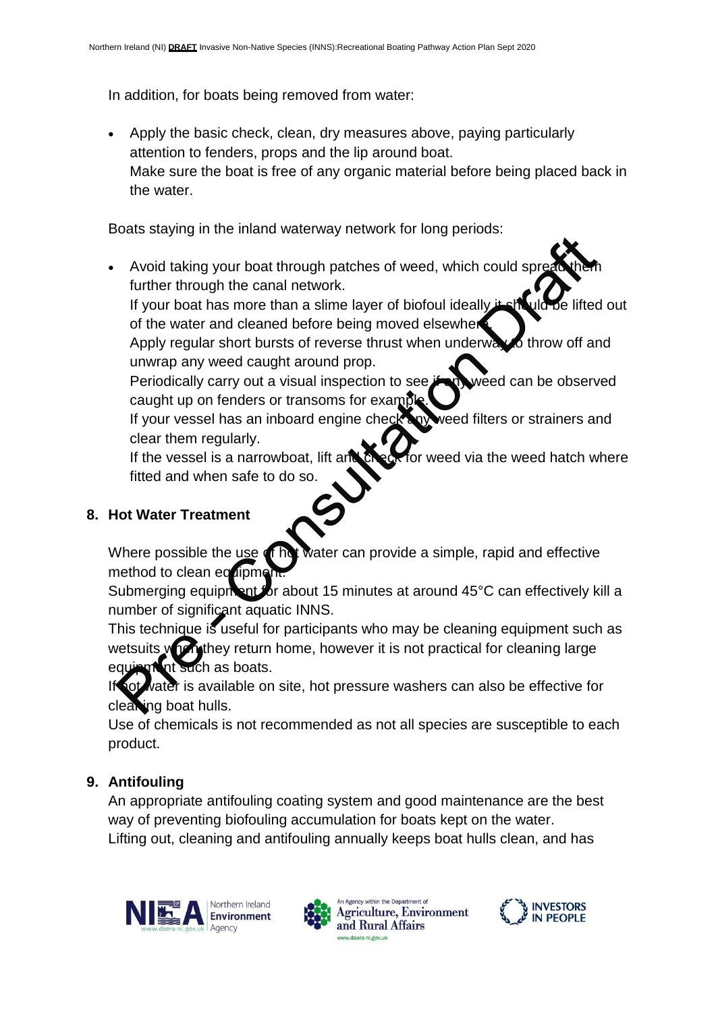In addition, for boats being removed from water:

• Apply the basic check, clean, dry measures above, paying particularly attention to fenders, props and the lip around boat. Make sure the boat is free of any organic material before being placed back in the water.

Boats staying in the inland waterway network for long periods:

Avoid taking your boat through patches of weed, which could spi further through the canal network.

If your boat has more than a slime layer of biofoul ideally it should be lifted out of the water and cleaned before being moved elsewher

Apply regular short bursts of reverse thrust when underway to throw off and unwrap any weed caught around prop.

Periodically carry out a visual inspection to see **if any** weed can be observed caught up on fenders or transoms for example

If your vessel has an inboard engine check any weed filters or strainers and clear them regularly.

If the vessel is a narrowboat, lift and  $\mathbb{C}$  eq. for weed via the weed hatch where fitted and when safe to do so.

# **8. Hot Water Treatment**

Where possible the use of hot water can provide a simple, rapid and effective method to clean equipment

Submerging equipment for about 15 minutes at around 45°C can effectively kill a number of significant aquatic INNS.

This technique is useful for participants who may be cleaning equipment such as wetsuits when they return home, however it is not practical for cleaning large Int such as boats.

water is available on site, hot pressure washers can also be effective for cleaning boat hulls.

Use of chemicals is not recommended as not all species are susceptible to each product.

# **9. Antifouling**

An appropriate antifouling coating system and good maintenance are the best way of preventing biofouling accumulation for boats kept on the water. Lifting out, cleaning and antifouling annually keeps boat hulls clean, and has







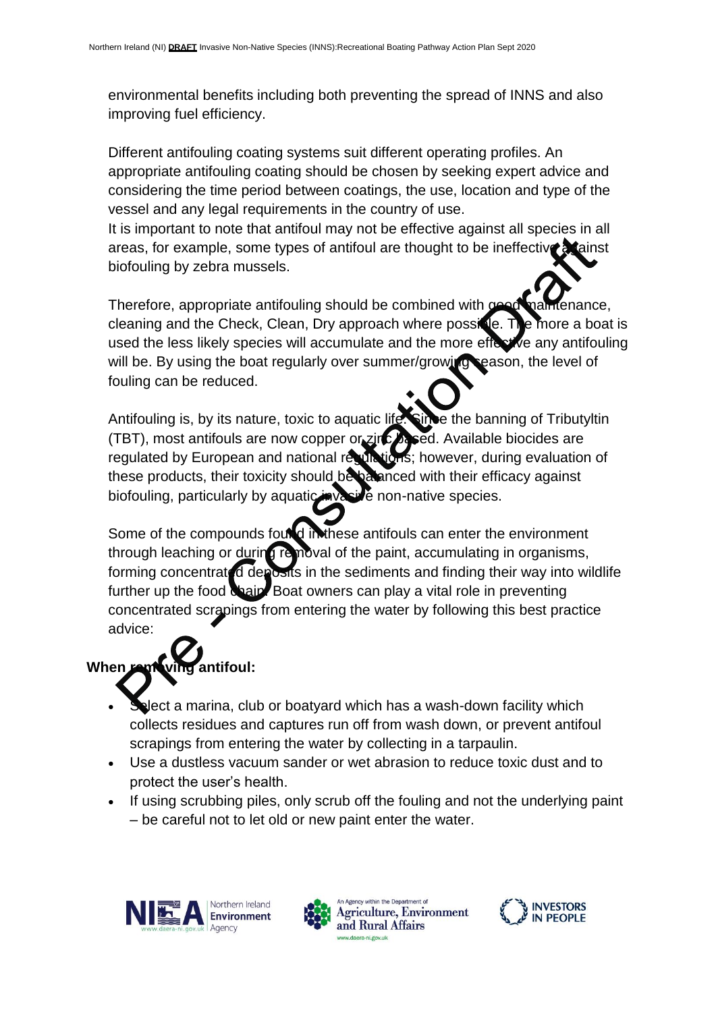environmental benefits including both preventing the spread of INNS and also improving fuel efficiency.

Different antifouling coating systems suit different operating profiles. An appropriate antifouling coating should be chosen by seeking expert advice and considering the time period between coatings, the use, location and type of the vessel and any legal requirements in the country of use.

It is important to note that antifoul may not be effective against all species in all areas, for example, some types of antifoul are thought to be ineffective at ainst biofouling by zebra mussels.

Therefore, appropriate antifouling should be combined with good maintenance, cleaning and the Check, Clean, Dry approach where possible. The more a boat is used the less likely species will accumulate and the more effective any antifouling will be. By using the boat regularly over summer/growing season, the level of fouling can be reduced.

Antifouling is, by its nature, toxic to aquatic life. Since the banning of Tributyltin (TBT), most antifouls are now copper or zinc based. Available biocides are regulated by European and national regulations; however, during evaluation of these products, their toxicity should be balanced with their efficacy against biofouling, particularly by aquatic invasive non-native species.

Some of the compounds found in these antifouls can enter the environment through leaching or during removal of the paint, accumulating in organisms, forming concentrated deposits in the sediments and finding their way into wildlife further up the food chain. Boat owners can play a vital role in preventing concentrated scrapings from entering the water by following this best practice advice:

# When removing antifoul:

- Select a marina, club or boatyard which has a wash-down facility which collects residues and captures run off from wash down, or prevent antifoul scrapings from entering the water by collecting in a tarpaulin.
- Use a dustless vacuum sander or wet abrasion to reduce toxic dust and to protect the user's health.
- If using scrubbing piles, only scrub off the fouling and not the underlying paint – be careful not to let old or new paint enter the water.







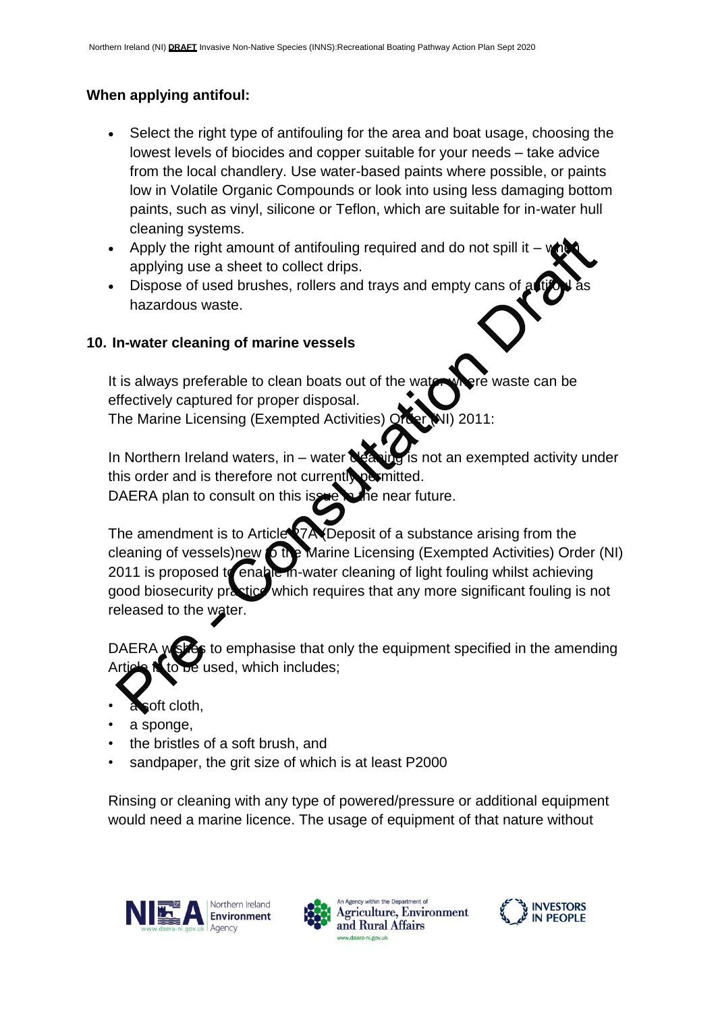# **When applying antifoul:**

- Select the right type of antifouling for the area and boat usage, choosing the lowest levels of biocides and copper suitable for your needs – take advice from the local chandlery. Use water-based paints where possible, or paints low in Volatile Organic Compounds or look into using less damaging bottom paints, such as vinyl, silicone or Teflon, which are suitable for in-water hull cleaning systems.
- Apply the right amount of antifouling required and do not spill it  $$ applying use a sheet to collect drips.
- Dispose of used brushes, rollers and trays and empty cans of hazardous waste.

# **10. In-water cleaning of marine vessels**

It is always preferable to clean boats out of the water where waste can be effectively captured for proper disposal. The Marine Licensing (Exempted Activities) Order (NI) 2011:

In Northern Ireland waters, in – water  $\alpha$  is not an exempted activity under this order and is therefore not currently permitted.

DAERA plan to consult on this issue in the near future.

The amendment is to Article<sup>1</sup>7A (Deposit of a substance arising from the cleaning of vessels)new to the Marine Licensing (Exempted Activities) Order (NI) 2011 is proposed to enable in-water cleaning of light fouling whilst achieving good biosecurity practice which requires that any more significant fouling is not released to the water.

DAERA wishes to emphasise that only the equipment specified in the amending be used, which includes;

- a soft cloth,
- a sponge,
- the bristles of a soft brush, and
- sandpaper, the grit size of which is at least P2000

Rinsing or cleaning with any type of powered/pressure or additional equipment would need a marine licence. The usage of equipment of that nature without







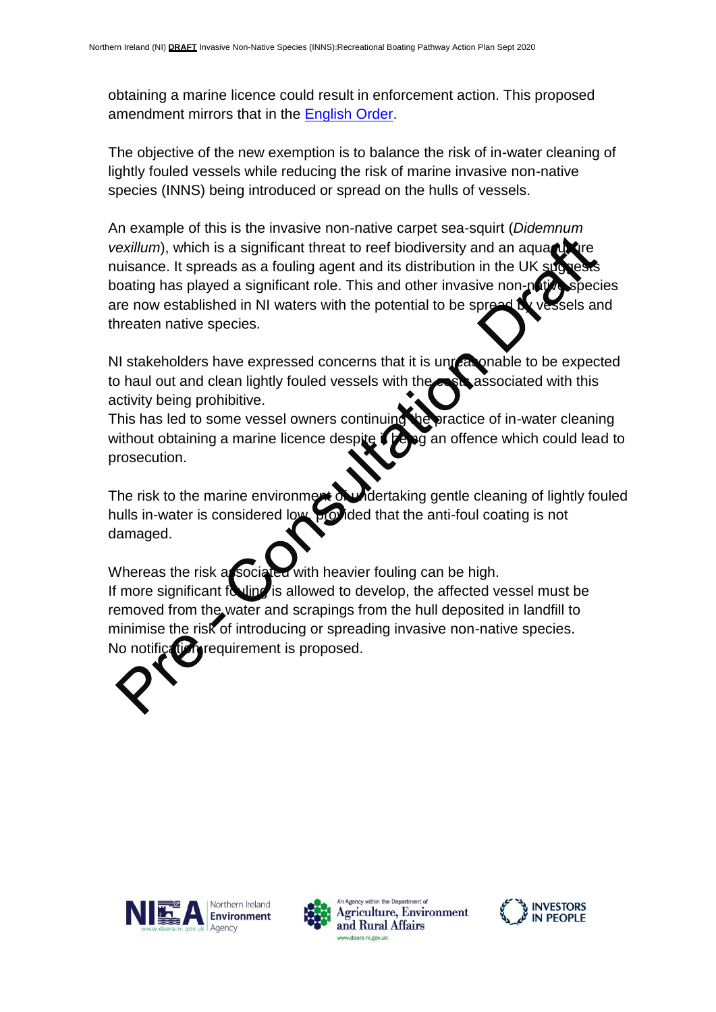obtaining a marine licence could result in enforcement action. This proposed amendment mirrors that in the [English Order.](http://www.legislation.gov.uk/uksi/2019/893/contents/made)

The objective of the new exemption is to balance the risk of in-water cleaning of lightly fouled vessels while reducing the risk of marine invasive non-native species (INNS) being introduced or spread on the hulls of vessels.

An example of this is the invasive non-native carpet sea-squirt (*Didemnum vexillum*), which is a significant threat to reef biodiversity and an aqua nuisance. It spreads as a fouling agent and its distribution in the UK sud boating has played a significant role. This and other invasive non-nat are now established in NI waters with the potential to be spread by vessels and threaten native species.

NI stakeholders have expressed concerns that it is unreasonable to be expected to haul out and clean lightly fouled vessels with the costs associated with this activity being prohibitive.

This has led to some vessel owners continuing the practice of in-water cleaning without obtaining a marine licence despite  $\mathbf{f}$  being an offence which could lead to prosecution.

The risk to the marine environment of undertaking gentle cleaning of lightly fouled hulls in-water is considered low, provided that the anti-foul coating is not damaged.

Whereas the risk associated with heavier fouling can be high. If more significant fouling is allowed to develop, the affected vessel must be removed from the water and scrapings from the hull deposited in landfill to minimise the risk of introducing or spreading invasive non-native species. No notification requirement is proposed.









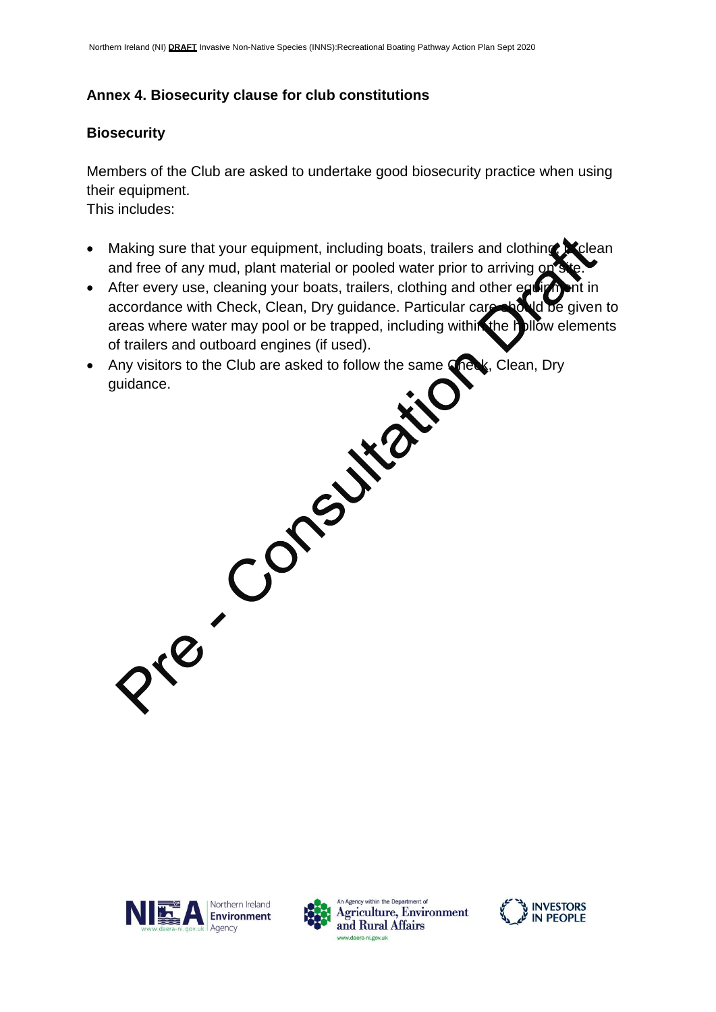# **Annex 4. Biosecurity clause for club constitutions**

# **Biosecurity**

Members of the Club are asked to undertake good biosecurity practice when using their equipment.

This includes:

- Making sure that your equipment, including boats, trailers and clothing,  $\mathbb{R}$  clean and free of any mud, plant material or pooled water prior to arriving or
- After every use, cleaning your boats, trailers, clothing and other equipment in accordance with Check, Clean, Dry guidance. Particular care should be given to areas where water may pool or be trapped, including within the hollow elements of trailers and outboard engines (if used).
- Any visitors to the Club are asked to follow the same Check, Clean, Dry guidance.







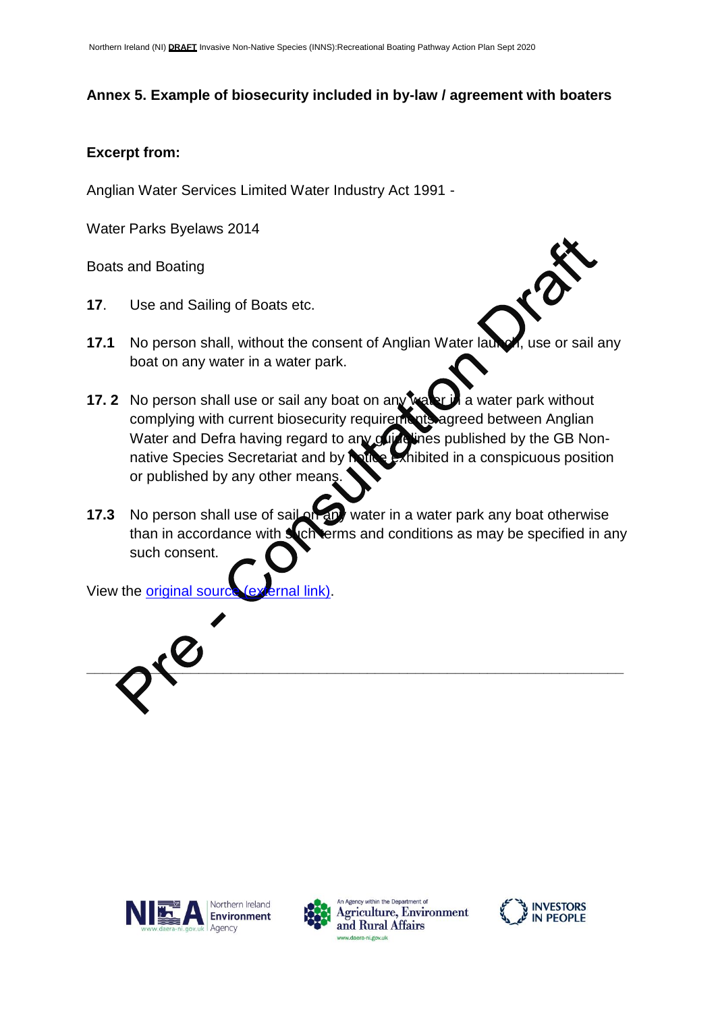# **Annex 5. Example of biosecurity included in by-law / agreement with boaters**

#### **Excerpt from:**

Anglian Water Services Limited Water Industry Act 1991 -

Water Parks Byelaws 2014

Boats and Boating

- **17**. Use and Sailing of Boats etc.
- **17.1** No person shall, without the consent of Anglian Water launch, use or sail any boat on any water in a water park.
- **17. 2** No person shall use or sail any boat on any water in a water park without complying with current biosecurity requirements agreed between Anglian Water and Defra having regard to any guidelines published by the GB Nonnative Species Secretariat and by notice exhibited in a conspicuous position or published by any other means.
- **17.3** No person shall use of sail on any water in a water park any boat otherwise than in accordance with such terms and conditions as may be specified in any such consent.

View the [original source \(external link\).](https://anglianwaterparks.co.uk/sites/default/files/pdf/Confirmed-Waterparks-Byelaws-23-March-2015.pdf)









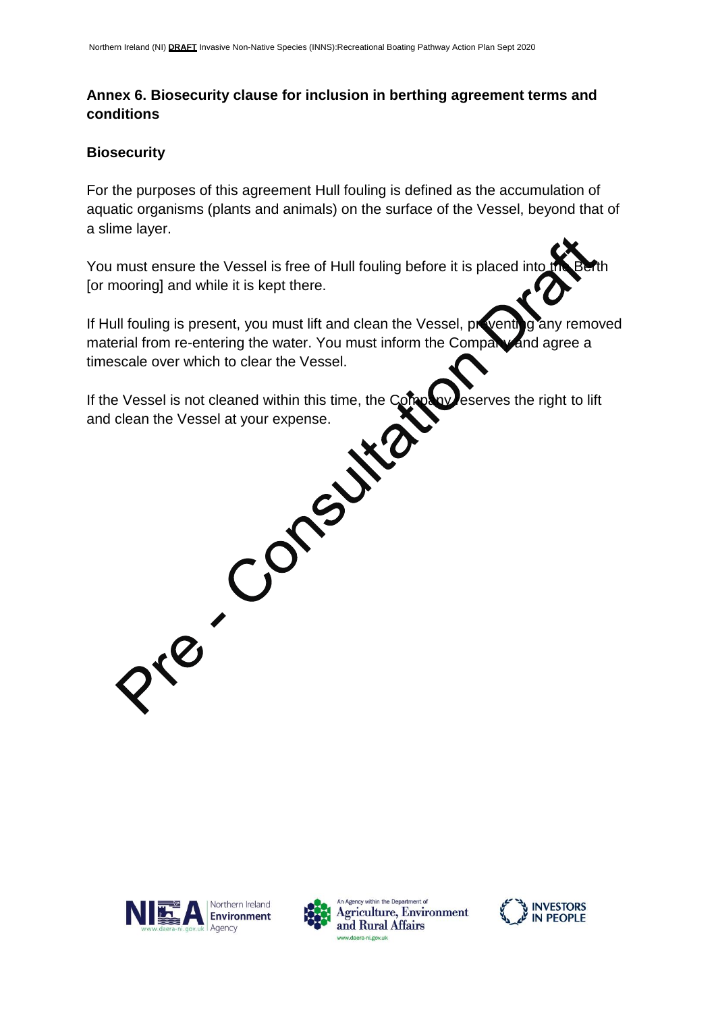# **Annex 6. Biosecurity clause for inclusion in berthing agreement terms and conditions**

#### **Biosecurity**

For the purposes of this agreement Hull fouling is defined as the accumulation of aquatic organisms (plants and animals) on the surface of the Vessel, beyond that of a slime layer.

You must ensure the Vessel is free of Hull fouling before it is placed into [or mooring] and while it is kept there.

If Hull fouling is present, you must lift and clean the Vessel, proventing any removed material from re-entering the water. You must inform the Company and agree a timescale over which to clear the Vessel.

If the Vessel is not cleaned within this time, the Company esserves the right to lift<br>and clean the Vessel at your expense. and clean the Vessel at your expense.







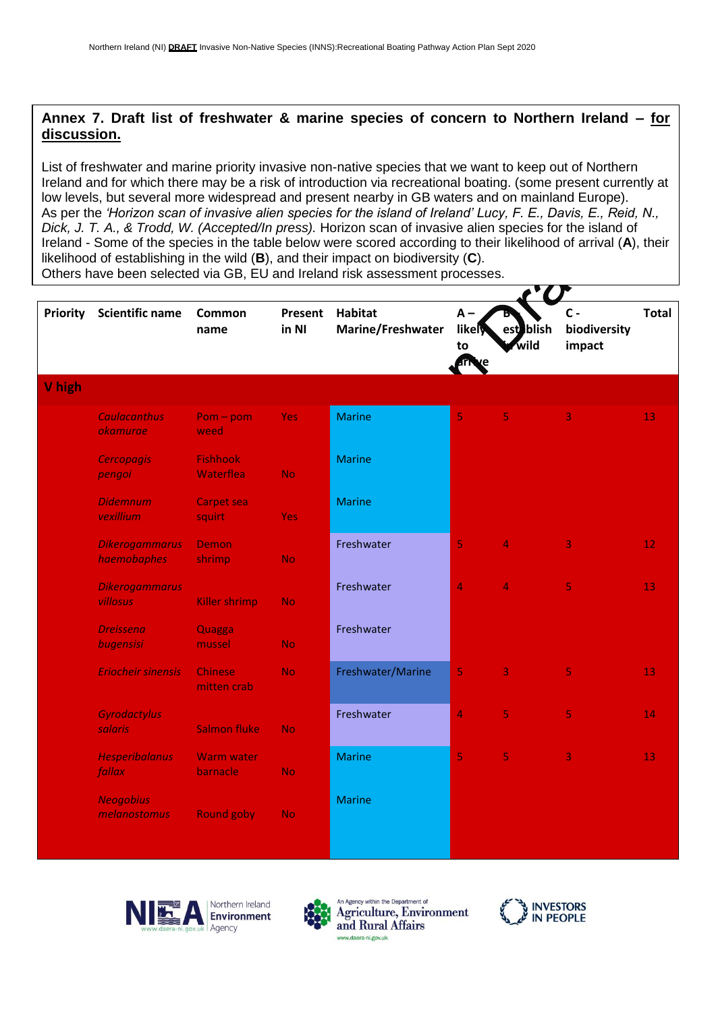### **Annex 7. Draft list of freshwater & marine species of concern to Northern Ireland – for discussion.**

List of freshwater and marine priority invasive non-native species that we want to keep out of Northern Ireland and for which there may be a risk of introduction via recreational boating. (some present currently at low levels, but several more widespread and present nearby in GB waters and on mainland Europe). As per the *'Horizon scan of invasive alien species for the island of Ireland' Lucy, F. E., Davis, E., Reid, N., Dick, J. T. A., & Trodd, W. (Accepted/In press).* Horizon scan of invasive alien species for the island of Ireland - Some of the species in the table below were scored according to their likelihood of arrival (**A**), their likelihood of establishing in the wild (**B**), and their impact on biodiversity (**C**).

Others have been selected via GB, EU and Ireland risk assessment processes.

| Priority | <b>Scientific name</b>                | Common<br>name                | Present<br>in NI | <b>Habitat</b><br>Marine/Freshwater | $A -$<br>likely<br>to<br>ரி | est blish<br>wild | $C -$<br>biodiversity<br>impact | <b>Total</b>    |
|----------|---------------------------------------|-------------------------------|------------------|-------------------------------------|-----------------------------|-------------------|---------------------------------|-----------------|
| V high   |                                       |                               |                  |                                     |                             |                   |                                 |                 |
|          | <b>Caulacanthus</b><br>okamurae       | $Pom-pom$<br>weed             | <b>Yes</b>       | <b>Marine</b>                       | 5                           | 5                 | 3                               | 13              |
|          | <b>Cercopagis</b><br>pengoi           | <b>Fishhook</b><br>Waterflea  | <b>No</b>        | <b>Marine</b>                       |                             |                   |                                 |                 |
|          | <b>Didemnum</b><br>vexillium          | <b>Carpet sea</b><br>squirt   | <b>Yes</b>       | <b>Marine</b>                       |                             |                   |                                 |                 |
|          | <b>Dikerogammarus</b><br>haemobaphes  | Demon<br>shrimp               | No.              | Freshwater                          | 5                           | 4                 | 3                               | 12 <sub>1</sub> |
|          | <b>Dikerogammarus</b><br>villosus     | Killer shrimp                 | <b>No</b>        | Freshwater                          | 4                           | 4                 | 5                               | 13              |
|          | <b>Dreissena</b><br>bugensisi         | Quagga<br>mussel              | <b>No</b>        | Freshwater                          |                             |                   |                                 |                 |
|          | <b>Eriocheir sinensis</b>             | <b>Chinese</b><br>mitten crab | <b>No</b>        | Freshwater/Marine                   | 5                           | 3                 | 5                               | 13              |
|          | <b>Gyrodactylus</b><br><b>salaris</b> | <b>Salmon fluke</b>           | <b>No</b>        | Freshwater                          | 4                           | 5                 | 5                               | 14              |
|          | <b>Hesperibalanus</b><br>fallax       | <b>Warm water</b><br>barnacle | <b>No</b>        | <b>Marine</b>                       | 5                           | 5                 | 3                               | 13              |
|          | <b>Neogobius</b><br>melanostomus      | <b>Round goby</b>             | <b>No</b>        | <b>Marine</b>                       |                             |                   |                                 |                 |
|          |                                       |                               |                  |                                     |                             |                   |                                 |                 |





An Agency within the Department of **Agriculture, Environment** and Rural Affairs



**AV AP**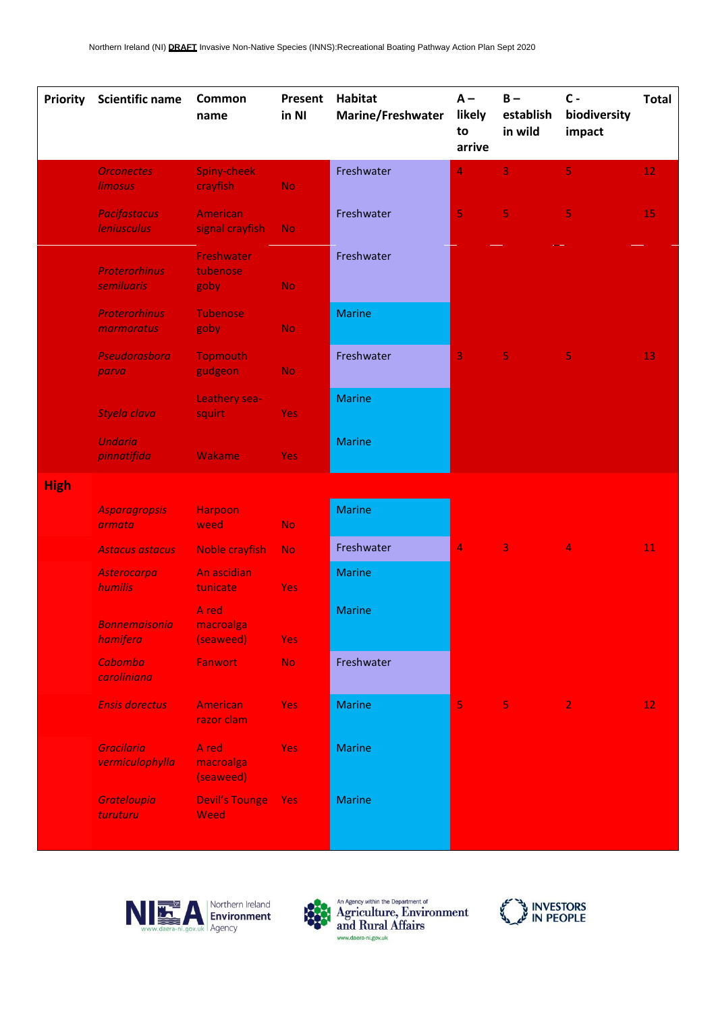| <b>Priority</b> | <b>Scientific name</b>                    | Common<br>name                  | Present<br>in NI | <b>Habitat</b><br>Marine/Freshwater | $A -$<br>likely<br>to<br>arrive | $B -$<br>establish<br>in wild | $c -$<br>biodiversity<br>impact | <b>Total</b>  |
|-----------------|-------------------------------------------|---------------------------------|------------------|-------------------------------------|---------------------------------|-------------------------------|---------------------------------|---------------|
|                 | <b>Orconectes</b><br><b>limosus</b>       | Spiny-cheek<br>crayfish         | <b>No</b>        | Freshwater                          | 4                               | 3                             | 5.                              | 12            |
|                 | <b>Pacifastacus</b><br><b>leniusculus</b> | American<br>signal crayfish     | <b>No</b>        | Freshwater                          | 5                               | $\overline{\mathbf{5}}$       | 5                               | 15            |
|                 | <b>Proterorhinus</b><br>semiluaris        | Freshwater<br>tubenose<br>goby  | <b>No</b>        | Freshwater                          |                                 |                               |                                 |               |
|                 | <b>Proterorhinus</b><br>marmoratus        | <b>Tubenose</b><br>goby         | <b>No</b>        | <b>Marine</b>                       |                                 |                               |                                 |               |
|                 | Pseudorasbora<br>parva                    | <b>Topmouth</b><br>gudgeon      | <b>No</b>        | Freshwater                          | 3                               | $\overline{\mathbf{5}}$       | 5                               | 13            |
|                 | Styela clava                              | Leathery sea-<br>squirt         | <b>Yes</b>       | <b>Marine</b>                       |                                 |                               |                                 |               |
|                 | <b>Undaria</b><br>pinnatifida             | Wakame                          | Yes:             | <b>Marine</b>                       |                                 |                               |                                 |               |
| <b>High</b>     |                                           |                                 |                  |                                     |                                 |                               |                                 |               |
|                 | <b>Asparagropsis</b><br>armata            | <b>Harpoon</b><br>weed          | <b>No</b>        | <b>Marine</b>                       |                                 |                               |                                 |               |
|                 | <b>Astacus astacus</b>                    | <b>Noble crayfish</b>           | <b>No</b>        | Freshwater                          | 4                               | 3                             | 4                               | 11            |
|                 | Asterocarpa<br>humilis                    | An ascidian<br>tunicate         | <b>Yes</b>       | <b>Marine</b>                       |                                 |                               |                                 |               |
|                 | <b>Bonnemaisonia</b><br>hamifera          | A red<br>macroalga<br>(seaweed) | <b>Yes</b>       | <b>Marine</b>                       |                                 |                               |                                 |               |
|                 | <b>Cabomba</b><br>caroliniana             | Fanwort                         | <b>No</b>        | Freshwater                          |                                 |                               |                                 |               |
|                 | <b>Ensis dorectus</b>                     | American<br>razor clam          | <b>Yes</b>       | <b>Marine</b>                       | 5                               | 5 <sub>1</sub>                | $\overline{2}$                  | $12 \text{ }$ |
|                 | <b>Gracilaria</b><br>vermiculophylla      | A red<br>macroalga<br>(seaweed) | <b>Yes</b>       | <b>Marine</b>                       |                                 |                               |                                 |               |
|                 | <b>Grateloupia</b><br>turuturu            | <b>Devil's Tounge</b><br>Weed   | <b>Yes</b>       | <b>Marine</b>                       |                                 |                               |                                 |               |





An Agency within the Department of<br>Agriculture, Environment<br>and Rural Affairs www.daera-ni.gov.uk

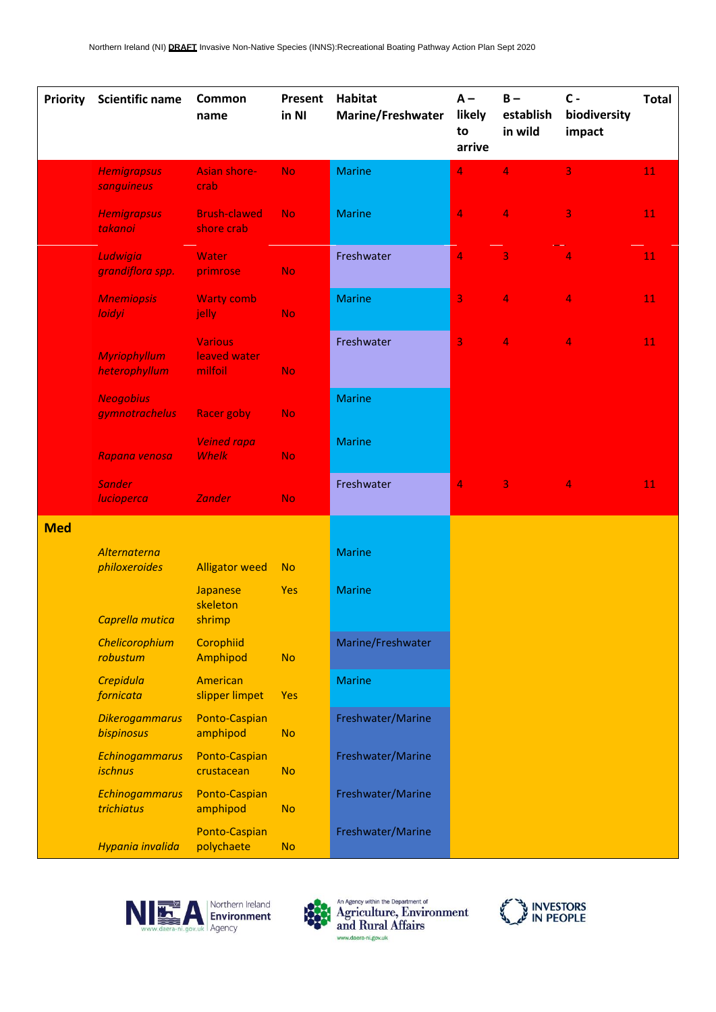| Priority   | <b>Scientific name</b>               | Common<br>name                            | Present<br>in NI | <b>Habitat</b><br>Marine/Freshwater | $A -$<br>likely<br>to<br>arrive | $B -$<br>establish<br>in wild | $c -$<br>biodiversity<br>impact | <b>Total</b> |
|------------|--------------------------------------|-------------------------------------------|------------------|-------------------------------------|---------------------------------|-------------------------------|---------------------------------|--------------|
|            | <b>Hemigrapsus</b><br>sanguineus     | <b>Asian shore-</b><br>crab               | <b>No</b>        | <b>Marine</b>                       | 4                               | $\overline{4}$                | 3                               | 11           |
|            | <b>Hemigrapsus</b><br>takanoi        | <b>Brush-clawed</b><br>shore crab         | No.              | <b>Marine</b>                       | $\overline{4}$                  | 4                             | $\overline{\mathbf{3}}$         | 11           |
|            | Ludwigia<br>grandiflora spp.         | Water<br>primrose                         | <b>No</b>        | Freshwater                          | 4                               | 3                             | $\overline{4}$                  | 11           |
|            | <b>Mnemiopsis</b><br><b>loidyi</b>   | <b>Warty comb</b><br>jelly                | <b>No</b>        | <b>Marine</b>                       | 3                               | 4                             | $\overline{4}$                  | 11           |
|            | <b>Myriophyllum</b><br>heterophyllum | <b>Various</b><br>leaved water<br>milfoil | <b>No</b>        | Freshwater                          | 3                               | 4                             | $\overline{4}$                  | 11           |
|            | <b>Neogobius</b><br>gymnotrachelus   | <b>Racer goby</b>                         | No.              | <b>Marine</b>                       |                                 |                               |                                 |              |
|            | Rapana venosa                        | <b>Veined rapa</b><br><b>Whelk</b>        | <b>No</b>        | <b>Marine</b>                       |                                 |                               |                                 |              |
|            | <b>Sander</b><br>lucioperca          | <b>Zander</b>                             | <b>No</b>        | Freshwater                          | $\overline{4}$                  | 3                             | 4                               | 11           |
| <b>Med</b> | Alternaterna<br>philoxeroides        | <b>Alligator weed</b>                     | <b>No</b>        | <b>Marine</b>                       |                                 |                               |                                 |              |
|            | Caprella mutica                      | Japanese<br>skeleton<br>shrimp            | Yes              | <b>Marine</b>                       |                                 |                               |                                 |              |
|            | Chelicorophium<br>robustum           | Corophiid<br>Amphipod                     | <b>No</b>        | Marine/Freshwater                   |                                 |                               |                                 |              |
|            | Crepidula<br>fornicata               | American<br>slipper limpet                | Yes              | <b>Marine</b>                       |                                 |                               |                                 |              |
|            | <b>Dikerogammarus</b><br>bispinosus  | Ponto-Caspian<br>amphipod                 | <b>No</b>        | Freshwater/Marine                   |                                 |                               |                                 |              |
|            | Echinogammarus<br><i>ischnus</i>     | Ponto-Caspian<br>crustacean               | <b>No</b>        | Freshwater/Marine                   |                                 |                               |                                 |              |
|            | Echinogammarus<br>trichiatus         | Ponto-Caspian<br>amphipod                 | <b>No</b>        | Freshwater/Marine                   |                                 |                               |                                 |              |
|            | Hypania invalida                     | Ponto-Caspian<br>polychaete               | <b>No</b>        | Freshwater/Marine                   |                                 |                               |                                 |              |





An Agency within the Department of<br>Agriculture, Environment<br>and Rural Affairs www.daera-ni.gov.uk